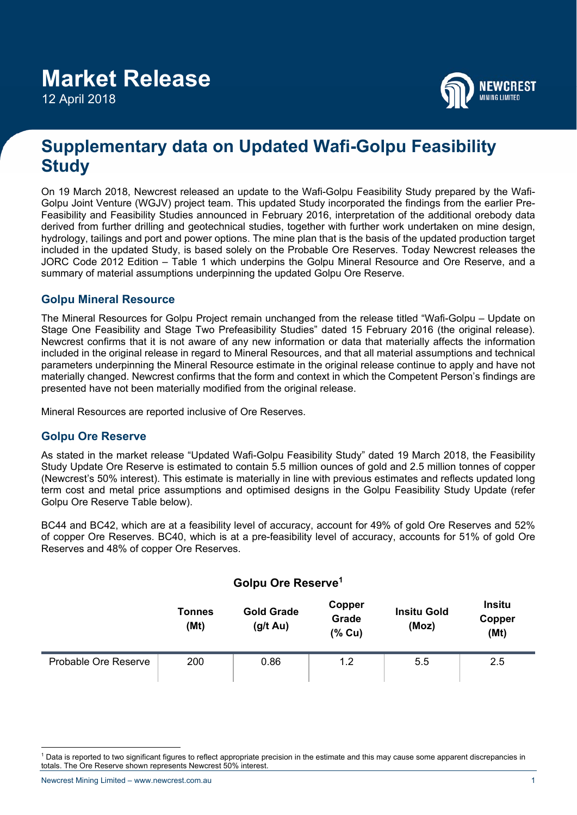12 April 2018



# **Supplementary data on Updated Wafi-Golpu Feasibility Study**

On 19 March 2018, Newcrest released an update to the Wafi-Golpu Feasibility Study prepared by the Wafi-Golpu Joint Venture (WGJV) project team. This updated Study incorporated the findings from the earlier Pre-Feasibility and Feasibility Studies announced in February 2016, interpretation of the additional orebody data derived from further drilling and geotechnical studies, together with further work undertaken on mine design, hydrology, tailings and port and power options. The mine plan that is the basis of the updated production target included in the updated Study, is based solely on the Probable Ore Reserves. Today Newcrest releases the JORC Code 2012 Edition – Table 1 which underpins the Golpu Mineral Resource and Ore Reserve, and a summary of material assumptions underpinning the updated Golpu Ore Reserve.

## **Golpu Mineral Resource**

The Mineral Resources for Golpu Project remain unchanged from the release titled "Wafi-Golpu – Update on Stage One Feasibility and Stage Two Prefeasibility Studies" dated 15 February 2016 (the original release). Newcrest confirms that it is not aware of any new information or data that materially affects the information included in the original release in regard to Mineral Resources, and that all material assumptions and technical parameters underpinning the Mineral Resource estimate in the original release continue to apply and have not materially changed. Newcrest confirms that the form and context in which the Competent Person's findings are presented have not been materially modified from the original release.

Mineral Resources are reported inclusive of Ore Reserves.

## **Golpu Ore Reserve**

As stated in the market release "Updated Wafi-Golpu Feasibility Study" dated 19 March 2018, the Feasibility Study Update Ore Reserve is estimated to contain 5.5 million ounces of gold and 2.5 million tonnes of copper (Newcrest's 50% interest). This estimate is materially in line with previous estimates and reflects updated long term cost and metal price assumptions and optimised designs in the Golpu Feasibility Study Update (refer Golpu Ore Reserve Table below).

BC44 and BC42, which are at a feasibility level of accuracy, account for 49% of gold Ore Reserves and 52% of copper Ore Reserves. BC40, which is at a pre-feasibility level of accuracy, accounts for 51% of gold Ore Reserves and 48% of copper Ore Reserves.

|                      |                       | Golpu Ore Reserve <sup>1</sup>     |                             |                             |                                 |
|----------------------|-----------------------|------------------------------------|-----------------------------|-----------------------------|---------------------------------|
|                      | <b>Tonnes</b><br>(Mt) | <b>Gold Grade</b><br>$(g/t \, Au)$ | Copper<br>Grade<br>$(%$ Cu) | <b>Insitu Gold</b><br>(Moz) | <b>Insitu</b><br>Copper<br>(Mt) |
| Probable Ore Reserve | 200                   | 0.86                               | 1.2                         | 5.5                         | 2.5                             |

 $\overline{a}$ <sup>1</sup> Data is reported to two significant figures to reflect appropriate precision in the estimate and this may cause some apparent discrepancies in totals. The Ore Reserve shown represents Newcrest 50% interest.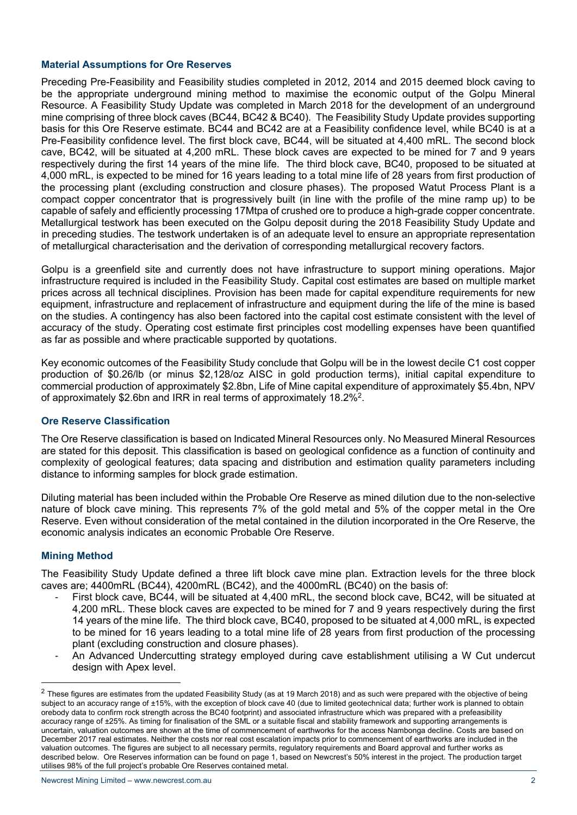### **Material Assumptions for Ore Reserves**

Preceding Pre-Feasibility and Feasibility studies completed in 2012, 2014 and 2015 deemed block caving to be the appropriate underground mining method to maximise the economic output of the Golpu Mineral Resource. A Feasibility Study Update was completed in March 2018 for the development of an underground mine comprising of three block caves (BC44, BC42 & BC40). The Feasibility Study Update provides supporting basis for this Ore Reserve estimate. BC44 and BC42 are at a Feasibility confidence level, while BC40 is at a Pre-Feasibility confidence level. The first block cave, BC44, will be situated at 4,400 mRL. The second block cave, BC42, will be situated at 4,200 mRL. These block caves are expected to be mined for 7 and 9 years respectively during the first 14 years of the mine life. The third block cave, BC40, proposed to be situated at 4,000 mRL, is expected to be mined for 16 years leading to a total mine life of 28 years from first production of the processing plant (excluding construction and closure phases). The proposed Watut Process Plant is a compact copper concentrator that is progressively built (in line with the profile of the mine ramp up) to be capable of safely and efficiently processing 17Mtpa of crushed ore to produce a high-grade copper concentrate. Metallurgical testwork has been executed on the Golpu deposit during the 2018 Feasibility Study Update and in preceding studies. The testwork undertaken is of an adequate level to ensure an appropriate representation of metallurgical characterisation and the derivation of corresponding metallurgical recovery factors.

Golpu is a greenfield site and currently does not have infrastructure to support mining operations. Major infrastructure required is included in the Feasibility Study. Capital cost estimates are based on multiple market prices across all technical disciplines. Provision has been made for capital expenditure requirements for new equipment, infrastructure and replacement of infrastructure and equipment during the life of the mine is based on the studies. A contingency has also been factored into the capital cost estimate consistent with the level of accuracy of the study. Operating cost estimate first principles cost modelling expenses have been quantified as far as possible and where practicable supported by quotations.

Key economic outcomes of the Feasibility Study conclude that Golpu will be in the lowest decile C1 cost copper production of \$0.26/lb (or minus \$2,128/oz AISC in gold production terms), initial capital expenditure to commercial production of approximately \$2.8bn, Life of Mine capital expenditure of approximately \$5.4bn, NPV of approximately \$2.6bn and IRR in real terms of approximately 18.2%2.

### **Ore Reserve Classification**

The Ore Reserve classification is based on Indicated Mineral Resources only. No Measured Mineral Resources are stated for this deposit. This classification is based on geological confidence as a function of continuity and complexity of geological features; data spacing and distribution and estimation quality parameters including distance to informing samples for block grade estimation.

Diluting material has been included within the Probable Ore Reserve as mined dilution due to the non-selective nature of block cave mining. This represents 7% of the gold metal and 5% of the copper metal in the Ore Reserve. Even without consideration of the metal contained in the dilution incorporated in the Ore Reserve, the economic analysis indicates an economic Probable Ore Reserve.

### **Mining Method**

l

The Feasibility Study Update defined a three lift block cave mine plan. Extraction levels for the three block caves are; 4400mRL (BC44), 4200mRL (BC42), and the 4000mRL (BC40) on the basis of:

- First block cave, BC44, will be situated at 4,400 mRL, the second block cave, BC42, will be situated at 4,200 mRL. These block caves are expected to be mined for 7 and 9 years respectively during the first 14 years of the mine life. The third block cave, BC40, proposed to be situated at 4,000 mRL, is expected to be mined for 16 years leading to a total mine life of 28 years from first production of the processing plant (excluding construction and closure phases).
- An Advanced Undercutting strategy employed during cave establishment utilising a W Cut undercut design with Apex level.

 $2$  These figures are estimates from the updated Feasibility Study (as at 19 March 2018) and as such were prepared with the objective of being subject to an accuracy range of ±15%, with the exception of block cave 40 (due to limited geotechnical data; further work is planned to obtain orebody data to confirm rock strength across the BC40 footprint) and associated infrastructure which was prepared with a prefeasibility accuracy range of ±25%. As timing for finalisation of the SML or a suitable fiscal and stability framework and supporting arrangements is uncertain, valuation outcomes are shown at the time of commencement of earthworks for the access Nambonga decline. Costs are based on December 2017 real estimates. Neither the costs nor real cost escalation impacts prior to commencement of earthworks are included in the valuation outcomes. The figures are subject to all necessary permits, regulatory requirements and Board approval and further works as described below. Ore Reserves information can be found on page 1, based on Newcrest's 50% interest in the project. The production target utilises 98% of the full project's probable Ore Reserves contained metal.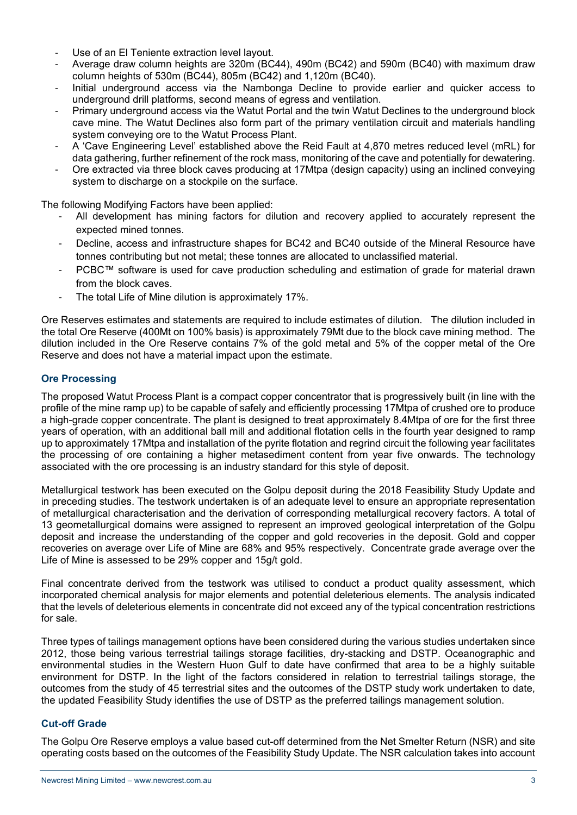- Use of an El Teniente extraction level layout.
- Average draw column heights are 320m (BC44), 490m (BC42) and 590m (BC40) with maximum draw column heights of 530m (BC44), 805m (BC42) and 1,120m (BC40).
- Initial underground access via the Nambonga Decline to provide earlier and quicker access to underground drill platforms, second means of egress and ventilation.
- Primary underground access via the Watut Portal and the twin Watut Declines to the underground block cave mine. The Watut Declines also form part of the primary ventilation circuit and materials handling system conveying ore to the Watut Process Plant.
- A 'Cave Engineering Level' established above the Reid Fault at 4,870 metres reduced level (mRL) for data gathering, further refinement of the rock mass, monitoring of the cave and potentially for dewatering.
- Ore extracted via three block caves producing at 17Mtpa (design capacity) using an inclined conveying system to discharge on a stockpile on the surface.

The following Modifying Factors have been applied:

- All development has mining factors for dilution and recovery applied to accurately represent the expected mined tonnes.
- Decline, access and infrastructure shapes for BC42 and BC40 outside of the Mineral Resource have tonnes contributing but not metal; these tonnes are allocated to unclassified material.
- PCBC™ software is used for cave production scheduling and estimation of grade for material drawn from the block caves.
- The total Life of Mine dilution is approximately 17%.

Ore Reserves estimates and statements are required to include estimates of dilution. The dilution included in the total Ore Reserve (400Mt on 100% basis) is approximately 79Mt due to the block cave mining method. The dilution included in the Ore Reserve contains 7% of the gold metal and 5% of the copper metal of the Ore Reserve and does not have a material impact upon the estimate.

### **Ore Processing**

The proposed Watut Process Plant is a compact copper concentrator that is progressively built (in line with the profile of the mine ramp up) to be capable of safely and efficiently processing 17Mtpa of crushed ore to produce a high-grade copper concentrate. The plant is designed to treat approximately 8.4Mtpa of ore for the first three years of operation, with an additional ball mill and additional flotation cells in the fourth year designed to ramp up to approximately 17Mtpa and installation of the pyrite flotation and regrind circuit the following year facilitates the processing of ore containing a higher metasediment content from year five onwards. The technology associated with the ore processing is an industry standard for this style of deposit.

Metallurgical testwork has been executed on the Golpu deposit during the 2018 Feasibility Study Update and in preceding studies. The testwork undertaken is of an adequate level to ensure an appropriate representation of metallurgical characterisation and the derivation of corresponding metallurgical recovery factors. A total of 13 geometallurgical domains were assigned to represent an improved geological interpretation of the Golpu deposit and increase the understanding of the copper and gold recoveries in the deposit. Gold and copper recoveries on average over Life of Mine are 68% and 95% respectively. Concentrate grade average over the Life of Mine is assessed to be 29% copper and 15g/t gold.

Final concentrate derived from the testwork was utilised to conduct a product quality assessment, which incorporated chemical analysis for major elements and potential deleterious elements. The analysis indicated that the levels of deleterious elements in concentrate did not exceed any of the typical concentration restrictions for sale.

Three types of tailings management options have been considered during the various studies undertaken since 2012, those being various terrestrial tailings storage facilities, dry-stacking and DSTP. Oceanographic and environmental studies in the Western Huon Gulf to date have confirmed that area to be a highly suitable environment for DSTP. In the light of the factors considered in relation to terrestrial tailings storage, the outcomes from the study of 45 terrestrial sites and the outcomes of the DSTP study work undertaken to date, the updated Feasibility Study identifies the use of DSTP as the preferred tailings management solution.

### **Cut-off Grade**

The Golpu Ore Reserve employs a value based cut-off determined from the Net Smelter Return (NSR) and site operating costs based on the outcomes of the Feasibility Study Update. The NSR calculation takes into account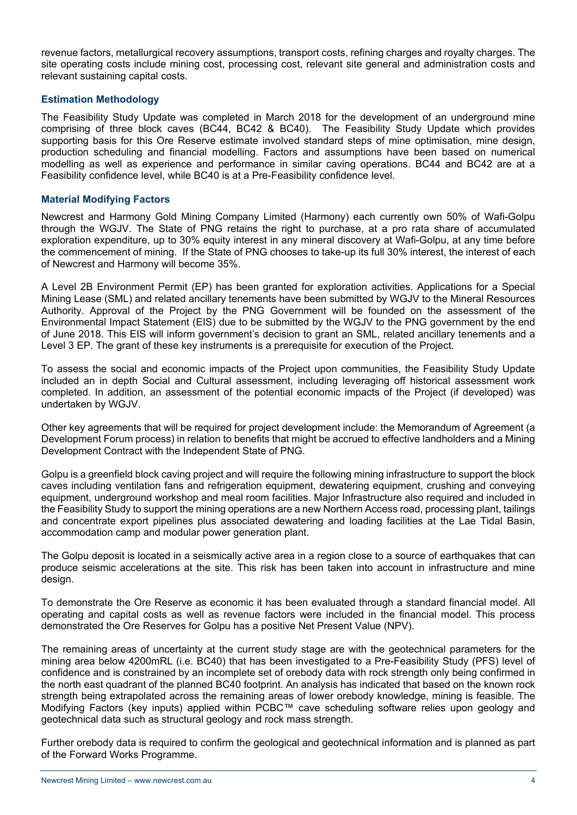revenue factors, metallurgical recovery assumptions, transport costs, refining charges and royalty charges. The site operating costs include mining cost, processing cost, relevant site general and administration costs and relevant sustaining capital costs.

### **Estimation Methodology**

The Feasibility Study Update was completed in March 2018 for the development of an underground mine comprising of three block caves (BC44, BC42 & BC40). The Feasibility Study Update which provides supporting basis for this Ore Reserve estimate involved standard steps of mine optimisation, mine design, production scheduling and financial modelling. Factors and assumptions have been based on numerical modelling as well as experience and performance in similar caving operations. BC44 and BC42 are at a Feasibility confidence level, while BC40 is at a Pre-Feasibility confidence level.

### **Material Modifying Factors**

Newcrest and Harmony Gold Mining Company Limited (Harmony) each currently own 50% of Wafi-Golpu through the WGJV. The State of PNG retains the right to purchase, at a pro rata share of accumulated exploration expenditure, up to 30% equity interest in any mineral discovery at Wafi-Golpu, at any time before the commencement of mining. If the State of PNG chooses to take-up its full 30% interest, the interest of each of Newcrest and Harmony will become 35%.

A Level 2B Environment Permit (EP) has been granted for exploration activities. Applications for a Special Mining Lease (SML) and related ancillary tenements have been submitted by WGJV to the Mineral Resources Authority. Approval of the Project by the PNG Government will be founded on the assessment of the Environmental Impact Statement (EIS) due to be submitted by the WGJV to the PNG government by the end of June 2018. This EIS will inform government's decision to grant an SML, related ancillary tenements and a Level 3 EP. The grant of these key instruments is a prerequisite for execution of the Project.

To assess the social and economic impacts of the Project upon communities, the Feasibility Study Update included an in depth Social and Cultural assessment, including leveraging off historical assessment work completed. In addition, an assessment of the potential economic impacts of the Project (if developed) was undertaken by WGJV.

Other key agreements that will be required for project development include: the Memorandum of Agreement (a Development Forum process) in relation to benefits that might be accrued to effective landholders and a Mining Development Contract with the Independent State of PNG.

Golpu is a greenfield block caving project and will require the following mining infrastructure to support the block caves including ventilation fans and refrigeration equipment, dewatering equipment, crushing and conveying equipment, underground workshop and meal room facilities. Major Infrastructure also required and included in the Feasibility Study to support the mining operations are a new Northern Access road, processing plant, tailings and concentrate export pipelines plus associated dewatering and loading facilities at the Lae Tidal Basin, accommodation camp and modular power generation plant.

The Golpu deposit is located in a seismically active area in a region close to a source of earthquakes that can produce seismic accelerations at the site. This risk has been taken into account in infrastructure and mine design.

To demonstrate the Ore Reserve as economic it has been evaluated through a standard financial model. All operating and capital costs as well as revenue factors were included in the financial model. This process demonstrated the Ore Reserves for Golpu has a positive Net Present Value (NPV).

The remaining areas of uncertainty at the current study stage are with the geotechnical parameters for the mining area below 4200mRL (i.e. BC40) that has been investigated to a Pre-Feasibility Study (PFS) level of confidence and is constrained by an incomplete set of orebody data with rock strength only being confirmed in the north east quadrant of the planned BC40 footprint. An analysis has indicated that based on the known rock strength being extrapolated across the remaining areas of lower orebody knowledge, mining is feasible. The Modifying Factors (key inputs) applied within PCBC™ cave scheduling software relies upon geology and geotechnical data such as structural geology and rock mass strength.

Further orebody data is required to confirm the geological and geotechnical information and is planned as part of the Forward Works Programme.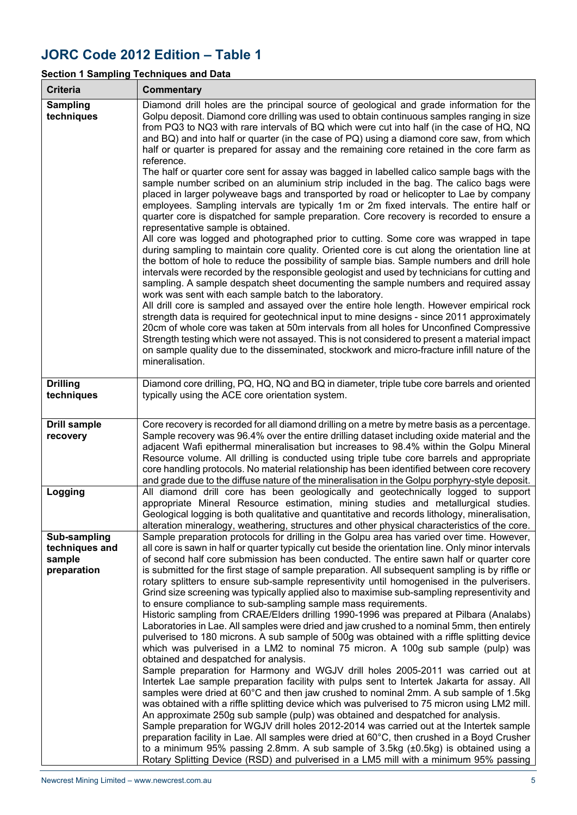# **JORC Code 2012 Edition – Table 1**

# **Section 1 Sampling Techniques and Data**

| <b>Criteria</b>                                         | <b>Commentary</b>                                                                                                                                                                                                                                                                                                                                                                                                                                                                                                                                                                                                                                                                                                                                                                                                                                                                                                                                                                                                                                                                                                                                                                                                                                                                                                                                                                                                                                                                                                                                                                                                                                                                                                                                                                                                                                                                                                                                                                                                                                             |
|---------------------------------------------------------|---------------------------------------------------------------------------------------------------------------------------------------------------------------------------------------------------------------------------------------------------------------------------------------------------------------------------------------------------------------------------------------------------------------------------------------------------------------------------------------------------------------------------------------------------------------------------------------------------------------------------------------------------------------------------------------------------------------------------------------------------------------------------------------------------------------------------------------------------------------------------------------------------------------------------------------------------------------------------------------------------------------------------------------------------------------------------------------------------------------------------------------------------------------------------------------------------------------------------------------------------------------------------------------------------------------------------------------------------------------------------------------------------------------------------------------------------------------------------------------------------------------------------------------------------------------------------------------------------------------------------------------------------------------------------------------------------------------------------------------------------------------------------------------------------------------------------------------------------------------------------------------------------------------------------------------------------------------------------------------------------------------------------------------------------------------|
| <b>Sampling</b><br>techniques                           | Diamond drill holes are the principal source of geological and grade information for the<br>Golpu deposit. Diamond core drilling was used to obtain continuous samples ranging in size<br>from PQ3 to NQ3 with rare intervals of BQ which were cut into half (in the case of HQ, NQ<br>and BQ) and into half or quarter (in the case of PQ) using a diamond core saw, from which<br>half or quarter is prepared for assay and the remaining core retained in the core farm as<br>reference.<br>The half or quarter core sent for assay was bagged in labelled calico sample bags with the<br>sample number scribed on an aluminium strip included in the bag. The calico bags were<br>placed in larger polyweave bags and transported by road or helicopter to Lae by company<br>employees. Sampling intervals are typically 1m or 2m fixed intervals. The entire half or<br>quarter core is dispatched for sample preparation. Core recovery is recorded to ensure a<br>representative sample is obtained.<br>All core was logged and photographed prior to cutting. Some core was wrapped in tape<br>during sampling to maintain core quality. Oriented core is cut along the orientation line at<br>the bottom of hole to reduce the possibility of sample bias. Sample numbers and drill hole<br>intervals were recorded by the responsible geologist and used by technicians for cutting and<br>sampling. A sample despatch sheet documenting the sample numbers and required assay<br>work was sent with each sample batch to the laboratory.<br>All drill core is sampled and assayed over the entire hole length. However empirical rock<br>strength data is required for geotechnical input to mine designs - since 2011 approximately<br>20cm of whole core was taken at 50m intervals from all holes for Unconfined Compressive<br>Strength testing which were not assayed. This is not considered to present a material impact<br>on sample quality due to the disseminated, stockwork and micro-fracture infill nature of the<br>mineralisation. |
| <b>Drilling</b><br>techniques                           | Diamond core drilling, PQ, HQ, NQ and BQ in diameter, triple tube core barrels and oriented<br>typically using the ACE core orientation system.                                                                                                                                                                                                                                                                                                                                                                                                                                                                                                                                                                                                                                                                                                                                                                                                                                                                                                                                                                                                                                                                                                                                                                                                                                                                                                                                                                                                                                                                                                                                                                                                                                                                                                                                                                                                                                                                                                               |
| <b>Drill sample</b><br>recovery                         | Core recovery is recorded for all diamond drilling on a metre by metre basis as a percentage.<br>Sample recovery was 96.4% over the entire drilling dataset including oxide material and the<br>adjacent Wafi epithermal mineralisation but increases to 98.4% within the Golpu Mineral<br>Resource volume. All drilling is conducted using triple tube core barrels and appropriate<br>core handling protocols. No material relationship has been identified between core recovery<br>and grade due to the diffuse nature of the mineralisation in the Golpu porphyry-style deposit.                                                                                                                                                                                                                                                                                                                                                                                                                                                                                                                                                                                                                                                                                                                                                                                                                                                                                                                                                                                                                                                                                                                                                                                                                                                                                                                                                                                                                                                                         |
| Logging                                                 | All diamond drill core has been geologically and geotechnically logged to support<br>appropriate Mineral Resource estimation, mining studies and metallurgical studies.<br>Geological logging is both qualitative and quantitative and records lithology, mineralisation,<br>alteration mineralogy, weathering, structures and other physical characteristics of the core.                                                                                                                                                                                                                                                                                                                                                                                                                                                                                                                                                                                                                                                                                                                                                                                                                                                                                                                                                                                                                                                                                                                                                                                                                                                                                                                                                                                                                                                                                                                                                                                                                                                                                    |
| Sub-sampling<br>techniques and<br>sample<br>preparation | Sample preparation protocols for drilling in the Golpu area has varied over time. However,<br>all core is sawn in half or quarter typically cut beside the orientation line. Only minor intervals<br>of second half core submission has been conducted. The entire sawn half or quarter core<br>is submitted for the first stage of sample preparation. All subsequent sampling is by riffle or<br>rotary splitters to ensure sub-sample representivity until homogenised in the pulverisers.<br>Grind size screening was typically applied also to maximise sub-sampling representivity and<br>to ensure compliance to sub-sampling sample mass requirements.<br>Historic sampling from CRAE/Elders drilling 1990-1996 was prepared at Pilbara (Analabs)<br>Laboratories in Lae. All samples were dried and jaw crushed to a nominal 5mm, then entirely<br>pulverised to 180 microns. A sub sample of 500g was obtained with a riffle splitting device<br>which was pulverised in a LM2 to nominal 75 micron. A 100g sub sample (pulp) was<br>obtained and despatched for analysis.<br>Sample preparation for Harmony and WGJV drill holes 2005-2011 was carried out at<br>Intertek Lae sample preparation facility with pulps sent to Intertek Jakarta for assay. All<br>samples were dried at 60°C and then jaw crushed to nominal 2mm. A sub sample of 1.5kg<br>was obtained with a riffle splitting device which was pulverised to 75 micron using LM2 mill.<br>An approximate 250g sub sample (pulp) was obtained and despatched for analysis.<br>Sample preparation for WGJV drill holes 2012-2014 was carried out at the Intertek sample<br>preparation facility in Lae. All samples were dried at 60°C, then crushed in a Boyd Crusher<br>to a minimum 95% passing 2.8mm. A sub sample of 3.5kg $(\pm 0.5$ kg) is obtained using a<br>Rotary Splitting Device (RSD) and pulverised in a LM5 mill with a minimum 95% passing                                                                                                                          |

┓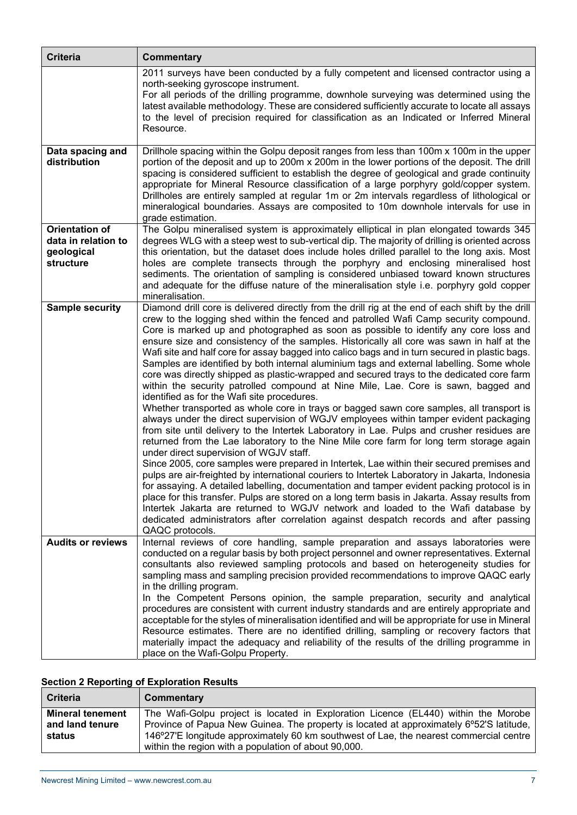| <b>Criteria</b>                                                         | <b>Commentary</b>                                                                                                                                                                                                                                                                                                                                                                                                                                                                                                                                                                                                                                                                                                                                                                                                                                                                                                                                                                                                                                                                                                                                                                                                                                                                                                                                                                                                                                                                                                                                                                                                                                                                                                                                                                                                                        |
|-------------------------------------------------------------------------|------------------------------------------------------------------------------------------------------------------------------------------------------------------------------------------------------------------------------------------------------------------------------------------------------------------------------------------------------------------------------------------------------------------------------------------------------------------------------------------------------------------------------------------------------------------------------------------------------------------------------------------------------------------------------------------------------------------------------------------------------------------------------------------------------------------------------------------------------------------------------------------------------------------------------------------------------------------------------------------------------------------------------------------------------------------------------------------------------------------------------------------------------------------------------------------------------------------------------------------------------------------------------------------------------------------------------------------------------------------------------------------------------------------------------------------------------------------------------------------------------------------------------------------------------------------------------------------------------------------------------------------------------------------------------------------------------------------------------------------------------------------------------------------------------------------------------------------|
|                                                                         | 2011 surveys have been conducted by a fully competent and licensed contractor using a<br>north-seeking gyroscope instrument.<br>For all periods of the drilling programme, downhole surveying was determined using the<br>latest available methodology. These are considered sufficiently accurate to locate all assays<br>to the level of precision required for classification as an Indicated or Inferred Mineral<br>Resource.                                                                                                                                                                                                                                                                                                                                                                                                                                                                                                                                                                                                                                                                                                                                                                                                                                                                                                                                                                                                                                                                                                                                                                                                                                                                                                                                                                                                        |
| Data spacing and<br>distribution                                        | Drillhole spacing within the Golpu deposit ranges from less than 100m x 100m in the upper<br>portion of the deposit and up to 200m x 200m in the lower portions of the deposit. The drill<br>spacing is considered sufficient to establish the degree of geological and grade continuity<br>appropriate for Mineral Resource classification of a large porphyry gold/copper system.<br>Drillholes are entirely sampled at regular 1m or 2m intervals regardless of lithological or<br>mineralogical boundaries. Assays are composited to 10m downhole intervals for use in<br>grade estimation.                                                                                                                                                                                                                                                                                                                                                                                                                                                                                                                                                                                                                                                                                                                                                                                                                                                                                                                                                                                                                                                                                                                                                                                                                                          |
| <b>Orientation of</b><br>data in relation to<br>geological<br>structure | The Golpu mineralised system is approximately elliptical in plan elongated towards 345<br>degrees WLG with a steep west to sub-vertical dip. The majority of drilling is oriented across<br>this orientation, but the dataset does include holes drilled parallel to the long axis. Most<br>holes are complete transects through the porphyry and enclosing mineralised host<br>sediments. The orientation of sampling is considered unbiased toward known structures<br>and adequate for the diffuse nature of the mineralisation style i.e. porphyry gold copper<br>mineralisation.                                                                                                                                                                                                                                                                                                                                                                                                                                                                                                                                                                                                                                                                                                                                                                                                                                                                                                                                                                                                                                                                                                                                                                                                                                                    |
| <b>Sample security</b>                                                  | Diamond drill core is delivered directly from the drill rig at the end of each shift by the drill<br>crew to the logging shed within the fenced and patrolled Wafi Camp security compound.<br>Core is marked up and photographed as soon as possible to identify any core loss and<br>ensure size and consistency of the samples. Historically all core was sawn in half at the<br>Wafi site and half core for assay bagged into calico bags and in turn secured in plastic bags.<br>Samples are identified by both internal aluminium tags and external labelling. Some whole<br>core was directly shipped as plastic-wrapped and secured trays to the dedicated core farm<br>within the security patrolled compound at Nine Mile, Lae. Core is sawn, bagged and<br>identified as for the Wafi site procedures.<br>Whether transported as whole core in trays or bagged sawn core samples, all transport is<br>always under the direct supervision of WGJV employees within tamper evident packaging<br>from site until delivery to the Intertek Laboratory in Lae. Pulps and crusher residues are<br>returned from the Lae laboratory to the Nine Mile core farm for long term storage again<br>under direct supervision of WGJV staff.<br>Since 2005, core samples were prepared in Intertek, Lae within their secured premises and<br>pulps are air-freighted by international couriers to Intertek Laboratory in Jakarta, Indonesia<br>for assaying. A detailed labelling, documentation and tamper evident packing protocol is in<br>place for this transfer. Pulps are stored on a long term basis in Jakarta. Assay results from<br>Intertek Jakarta are returned to WGJV network and loaded to the Wafi database by<br>dedicated administrators after correlation against despatch records and after passing<br>QAQC protocols. |
| <b>Audits or reviews</b>                                                | Internal reviews of core handling, sample preparation and assays laboratories were<br>conducted on a regular basis by both project personnel and owner representatives. External<br>consultants also reviewed sampling protocols and based on heterogeneity studies for<br>sampling mass and sampling precision provided recommendations to improve QAQC early<br>in the drilling program.<br>In the Competent Persons opinion, the sample preparation, security and analytical<br>procedures are consistent with current industry standards and are entirely appropriate and<br>acceptable for the styles of mineralisation identified and will be appropriate for use in Mineral<br>Resource estimates. There are no identified drilling, sampling or recovery factors that<br>materially impact the adequacy and reliability of the results of the drilling programme in<br>place on the Wafi-Golpu Property.                                                                                                                                                                                                                                                                                                                                                                                                                                                                                                                                                                                                                                                                                                                                                                                                                                                                                                                         |

# **Section 2 Reporting of Exploration Results**

| <b>Criteria</b>                                      | Commentary                                                                                                                                                                                                                                                                                                                      |
|------------------------------------------------------|---------------------------------------------------------------------------------------------------------------------------------------------------------------------------------------------------------------------------------------------------------------------------------------------------------------------------------|
| <b>Mineral tenement</b><br>and land tenure<br>status | The Wafi-Golpu project is located in Exploration Licence (EL440) within the Morobe<br>Province of Papua New Guinea. The property is located at approximately 6°52'S latitude,<br>146°27'E longitude approximately 60 km southwest of Lae, the nearest commercial centre<br>within the region with a population of about 90,000. |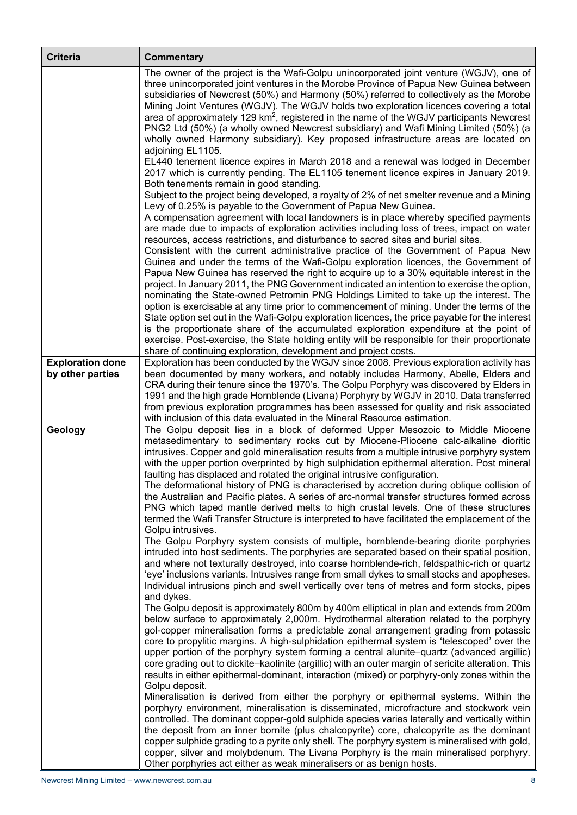| <b>Criteria</b>                             | <b>Commentary</b>                                                                                                                                                                                                                                                                                                                                                                                                                                                                                                                                                                                                                                                                                                                                                                                                                                                                                                                                                                                                                                                                                                                                                                                                                                                                                                                                                                                                                                         |
|---------------------------------------------|-----------------------------------------------------------------------------------------------------------------------------------------------------------------------------------------------------------------------------------------------------------------------------------------------------------------------------------------------------------------------------------------------------------------------------------------------------------------------------------------------------------------------------------------------------------------------------------------------------------------------------------------------------------------------------------------------------------------------------------------------------------------------------------------------------------------------------------------------------------------------------------------------------------------------------------------------------------------------------------------------------------------------------------------------------------------------------------------------------------------------------------------------------------------------------------------------------------------------------------------------------------------------------------------------------------------------------------------------------------------------------------------------------------------------------------------------------------|
|                                             | The owner of the project is the Wafi-Golpu unincorporated joint venture (WGJV), one of<br>three unincorporated joint ventures in the Morobe Province of Papua New Guinea between<br>subsidiaries of Newcrest (50%) and Harmony (50%) referred to collectively as the Morobe<br>Mining Joint Ventures (WGJV). The WGJV holds two exploration licences covering a total<br>area of approximately 129 km <sup>2</sup> , registered in the name of the WGJV participants Newcrest<br>PNG2 Ltd (50%) (a wholly owned Newcrest subsidiary) and Wafi Mining Limited (50%) (a<br>wholly owned Harmony subsidiary). Key proposed infrastructure areas are located on<br>adjoining EL1105.                                                                                                                                                                                                                                                                                                                                                                                                                                                                                                                                                                                                                                                                                                                                                                          |
|                                             | EL440 tenement licence expires in March 2018 and a renewal was lodged in December<br>2017 which is currently pending. The EL1105 tenement licence expires in January 2019.<br>Both tenements remain in good standing.<br>Subject to the project being developed, a royalty of 2% of net smelter revenue and a Mining<br>Levy of 0.25% is payable to the Government of Papua New Guinea.<br>A compensation agreement with local landowners is in place whereby specified payments<br>are made due to impacts of exploration activities including loss of trees, impact on water<br>resources, access restrictions, and disturbance to sacred sites and burial sites.<br>Consistent with the current administrative practice of the Government of Papua New<br>Guinea and under the terms of the Wafi-Golpu exploration licences, the Government of<br>Papua New Guinea has reserved the right to acquire up to a 30% equitable interest in the<br>project. In January 2011, the PNG Government indicated an intention to exercise the option,<br>nominating the State-owned Petromin PNG Holdings Limited to take up the interest. The<br>option is exercisable at any time prior to commencement of mining. Under the terms of the                                                                                                                                                                                                                        |
|                                             | State option set out in the Wafi-Golpu exploration licences, the price payable for the interest<br>is the proportionate share of the accumulated exploration expenditure at the point of<br>exercise. Post-exercise, the State holding entity will be responsible for their proportionate<br>share of continuing exploration, development and project costs.                                                                                                                                                                                                                                                                                                                                                                                                                                                                                                                                                                                                                                                                                                                                                                                                                                                                                                                                                                                                                                                                                              |
| <b>Exploration done</b><br>by other parties | Exploration has been conducted by the WGJV since 2008. Previous exploration activity has<br>been documented by many workers, and notably includes Harmony, Abelle, Elders and<br>CRA during their tenure since the 1970's. The Golpu Porphyry was discovered by Elders in<br>1991 and the high grade Hornblende (Livana) Porphyry by WGJV in 2010. Data transferred<br>from previous exploration programmes has been assessed for quality and risk associated<br>with inclusion of this data evaluated in the Mineral Resource estimation.                                                                                                                                                                                                                                                                                                                                                                                                                                                                                                                                                                                                                                                                                                                                                                                                                                                                                                                |
| Geology                                     | The Golpu deposit lies in a block of deformed Upper Mesozoic to Middle Miocene<br>metasedimentary to sedimentary rocks cut by Miocene-Pliocene calc-alkaline dioritic<br>intrusives. Copper and gold mineralisation results from a multiple intrusive porphyry system<br>with the upper portion overprinted by high sulphidation epithermal alteration. Post mineral<br>faulting has displaced and rotated the original intrusive configuration.<br>The deformational history of PNG is characterised by accretion during oblique collision of<br>the Australian and Pacific plates. A series of arc-normal transfer structures formed across<br>PNG which taped mantle derived melts to high crustal levels. One of these structures<br>termed the Wafi Transfer Structure is interpreted to have facilitated the emplacement of the<br>Golpu intrusives.<br>The Golpu Porphyry system consists of multiple, hornblende-bearing diorite porphyries<br>intruded into host sediments. The porphyries are separated based on their spatial position,<br>and where not texturally destroyed, into coarse hornblende-rich, feldspathic-rich or quartz<br>'eye' inclusions variants. Intrusives range from small dykes to small stocks and apopheses.<br>Individual intrusions pinch and swell vertically over tens of metres and form stocks, pipes<br>and dykes.<br>The Golpu deposit is approximately 800m by 400m elliptical in plan and extends from 200m |
|                                             | below surface to approximately 2,000m. Hydrothermal alteration related to the porphyry<br>gol-copper mineralisation forms a predictable zonal arrangement grading from potassic<br>core to propylitic margins. A high-sulphidation epithermal system is 'telescoped' over the<br>upper portion of the porphyry system forming a central alunite–quartz (advanced argillic)<br>core grading out to dickite-kaolinite (argillic) with an outer margin of sericite alteration. This<br>results in either epithermal-dominant, interaction (mixed) or porphyry-only zones within the<br>Golpu deposit.<br>Mineralisation is derived from either the porphyry or epithermal systems. Within the<br>porphyry environment, mineralisation is disseminated, microfracture and stockwork vein<br>controlled. The dominant copper-gold sulphide species varies laterally and vertically within<br>the deposit from an inner bornite (plus chalcopyrite) core, chalcopyrite as the dominant<br>copper sulphide grading to a pyrite only shell. The porphyry system is mineralised with gold,<br>copper, silver and molybdenum. The Livana Porphyry is the main mineralised porphyry.<br>Other porphyries act either as weak mineralisers or as benign hosts.                                                                                                                                                                                                         |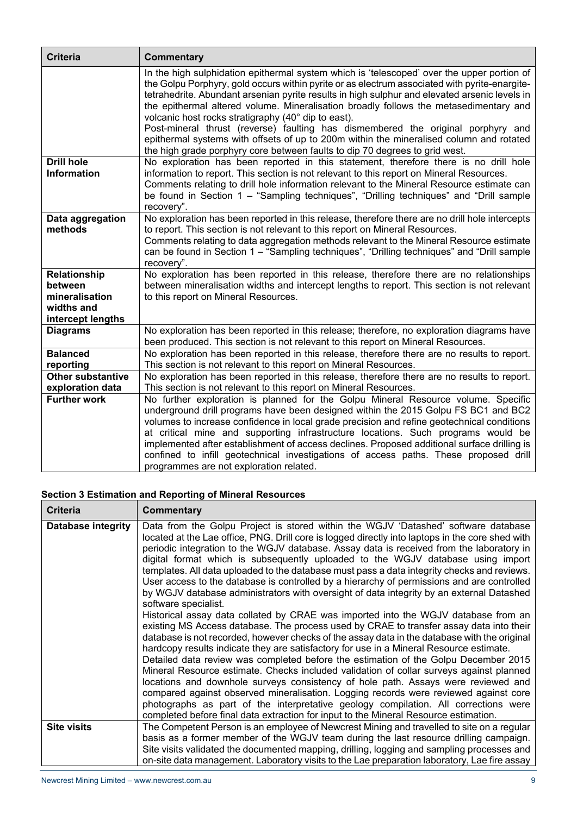| <b>Criteria</b>                 | <b>Commentary</b>                                                                                                                                                                                                                                                                                                                                                                                                                                                                                                                                                                                                                                                                                          |
|---------------------------------|------------------------------------------------------------------------------------------------------------------------------------------------------------------------------------------------------------------------------------------------------------------------------------------------------------------------------------------------------------------------------------------------------------------------------------------------------------------------------------------------------------------------------------------------------------------------------------------------------------------------------------------------------------------------------------------------------------|
|                                 | In the high sulphidation epithermal system which is 'telescoped' over the upper portion of<br>the Golpu Porphyry, gold occurs within pyrite or as electrum associated with pyrite-enargite-<br>tetrahedrite. Abundant arsenian pyrite results in high sulphur and elevated arsenic levels in<br>the epithermal altered volume. Mineralisation broadly follows the metasedimentary and<br>volcanic host rocks stratigraphy (40° dip to east).<br>Post-mineral thrust (reverse) faulting has dismembered the original porphyry and<br>epithermal systems with offsets of up to 200m within the mineralised column and rotated<br>the high grade porphyry core between faults to dip 70 degrees to grid west. |
| <b>Drill hole</b>               | No exploration has been reported in this statement, therefore there is no drill hole                                                                                                                                                                                                                                                                                                                                                                                                                                                                                                                                                                                                                       |
| <b>Information</b>              | information to report. This section is not relevant to this report on Mineral Resources.                                                                                                                                                                                                                                                                                                                                                                                                                                                                                                                                                                                                                   |
|                                 | Comments relating to drill hole information relevant to the Mineral Resource estimate can<br>be found in Section 1 - "Sampling techniques", "Drilling techniques" and "Drill sample                                                                                                                                                                                                                                                                                                                                                                                                                                                                                                                        |
|                                 | recovery".                                                                                                                                                                                                                                                                                                                                                                                                                                                                                                                                                                                                                                                                                                 |
| Data aggregation                | No exploration has been reported in this release, therefore there are no drill hole intercepts                                                                                                                                                                                                                                                                                                                                                                                                                                                                                                                                                                                                             |
| methods                         | to report. This section is not relevant to this report on Mineral Resources.                                                                                                                                                                                                                                                                                                                                                                                                                                                                                                                                                                                                                               |
|                                 | Comments relating to data aggregation methods relevant to the Mineral Resource estimate<br>can be found in Section 1 - "Sampling techniques", "Drilling techniques" and "Drill sample                                                                                                                                                                                                                                                                                                                                                                                                                                                                                                                      |
|                                 | recovery".                                                                                                                                                                                                                                                                                                                                                                                                                                                                                                                                                                                                                                                                                                 |
| Relationship                    | No exploration has been reported in this release, therefore there are no relationships                                                                                                                                                                                                                                                                                                                                                                                                                                                                                                                                                                                                                     |
| between                         | between mineralisation widths and intercept lengths to report. This section is not relevant                                                                                                                                                                                                                                                                                                                                                                                                                                                                                                                                                                                                                |
| mineralisation                  | to this report on Mineral Resources.                                                                                                                                                                                                                                                                                                                                                                                                                                                                                                                                                                                                                                                                       |
| widths and<br>intercept lengths |                                                                                                                                                                                                                                                                                                                                                                                                                                                                                                                                                                                                                                                                                                            |
| <b>Diagrams</b>                 | No exploration has been reported in this release; therefore, no exploration diagrams have                                                                                                                                                                                                                                                                                                                                                                                                                                                                                                                                                                                                                  |
|                                 | been produced. This section is not relevant to this report on Mineral Resources.                                                                                                                                                                                                                                                                                                                                                                                                                                                                                                                                                                                                                           |
| <b>Balanced</b>                 | No exploration has been reported in this release, therefore there are no results to report.                                                                                                                                                                                                                                                                                                                                                                                                                                                                                                                                                                                                                |
| reporting                       | This section is not relevant to this report on Mineral Resources.                                                                                                                                                                                                                                                                                                                                                                                                                                                                                                                                                                                                                                          |
| <b>Other substantive</b>        | No exploration has been reported in this release, therefore there are no results to report.                                                                                                                                                                                                                                                                                                                                                                                                                                                                                                                                                                                                                |
| exploration data                | This section is not relevant to this report on Mineral Resources.                                                                                                                                                                                                                                                                                                                                                                                                                                                                                                                                                                                                                                          |
| <b>Further work</b>             | No further exploration is planned for the Golpu Mineral Resource volume. Specific                                                                                                                                                                                                                                                                                                                                                                                                                                                                                                                                                                                                                          |
|                                 | underground drill programs have been designed within the 2015 Golpu FS BC1 and BC2<br>volumes to increase confidence in local grade precision and refine geotechnical conditions                                                                                                                                                                                                                                                                                                                                                                                                                                                                                                                           |
|                                 | at critical mine and supporting infrastructure locations. Such programs would be                                                                                                                                                                                                                                                                                                                                                                                                                                                                                                                                                                                                                           |
|                                 | implemented after establishment of access declines. Proposed additional surface drilling is                                                                                                                                                                                                                                                                                                                                                                                                                                                                                                                                                                                                                |
|                                 | confined to infill geotechnical investigations of access paths. These proposed drill                                                                                                                                                                                                                                                                                                                                                                                                                                                                                                                                                                                                                       |
|                                 | programmes are not exploration related.                                                                                                                                                                                                                                                                                                                                                                                                                                                                                                                                                                                                                                                                    |

# **Section 3 Estimation and Reporting of Mineral Resources**

| <b>Criteria</b>    | <b>Commentary</b>                                                                                                                                                                                                                                                                                                                                                                                                                                                                                                                                                                                                                                                                                                                                                                                                                                                                                                                                                                                                                                                                                                                                                                                                                                                                                                                                                                                                                                                                                                                                                                                                |
|--------------------|------------------------------------------------------------------------------------------------------------------------------------------------------------------------------------------------------------------------------------------------------------------------------------------------------------------------------------------------------------------------------------------------------------------------------------------------------------------------------------------------------------------------------------------------------------------------------------------------------------------------------------------------------------------------------------------------------------------------------------------------------------------------------------------------------------------------------------------------------------------------------------------------------------------------------------------------------------------------------------------------------------------------------------------------------------------------------------------------------------------------------------------------------------------------------------------------------------------------------------------------------------------------------------------------------------------------------------------------------------------------------------------------------------------------------------------------------------------------------------------------------------------------------------------------------------------------------------------------------------------|
| Database integrity | Data from the Golpu Project is stored within the WGJV 'Datashed' software database<br>located at the Lae office, PNG. Drill core is logged directly into laptops in the core shed with<br>periodic integration to the WGJV database. Assay data is received from the laboratory in<br>digital format which is subsequently uploaded to the WGJV database using import<br>templates. All data uploaded to the database must pass a data integrity checks and reviews.<br>User access to the database is controlled by a hierarchy of permissions and are controlled<br>by WGJV database administrators with oversight of data integrity by an external Datashed<br>software specialist.<br>Historical assay data collated by CRAE was imported into the WGJV database from an<br>existing MS Access database. The process used by CRAE to transfer assay data into their<br>database is not recorded, however checks of the assay data in the database with the original<br>hardcopy results indicate they are satisfactory for use in a Mineral Resource estimate.<br>Detailed data review was completed before the estimation of the Golpu December 2015<br>Mineral Resource estimate. Checks included validation of collar surveys against planned<br>locations and downhole surveys consistency of hole path. Assays were reviewed and<br>compared against observed mineralisation. Logging records were reviewed against core<br>photographs as part of the interpretative geology compilation. All corrections were<br>completed before final data extraction for input to the Mineral Resource estimation. |
| <b>Site visits</b> | The Competent Person is an employee of Newcrest Mining and travelled to site on a regular                                                                                                                                                                                                                                                                                                                                                                                                                                                                                                                                                                                                                                                                                                                                                                                                                                                                                                                                                                                                                                                                                                                                                                                                                                                                                                                                                                                                                                                                                                                        |
|                    | basis as a former member of the WGJV team during the last resource drilling campaign.                                                                                                                                                                                                                                                                                                                                                                                                                                                                                                                                                                                                                                                                                                                                                                                                                                                                                                                                                                                                                                                                                                                                                                                                                                                                                                                                                                                                                                                                                                                            |
|                    | Site visits validated the documented mapping, drilling, logging and sampling processes and                                                                                                                                                                                                                                                                                                                                                                                                                                                                                                                                                                                                                                                                                                                                                                                                                                                                                                                                                                                                                                                                                                                                                                                                                                                                                                                                                                                                                                                                                                                       |
|                    | on-site data management. Laboratory visits to the Lae preparation laboratory, Lae fire assay                                                                                                                                                                                                                                                                                                                                                                                                                                                                                                                                                                                                                                                                                                                                                                                                                                                                                                                                                                                                                                                                                                                                                                                                                                                                                                                                                                                                                                                                                                                     |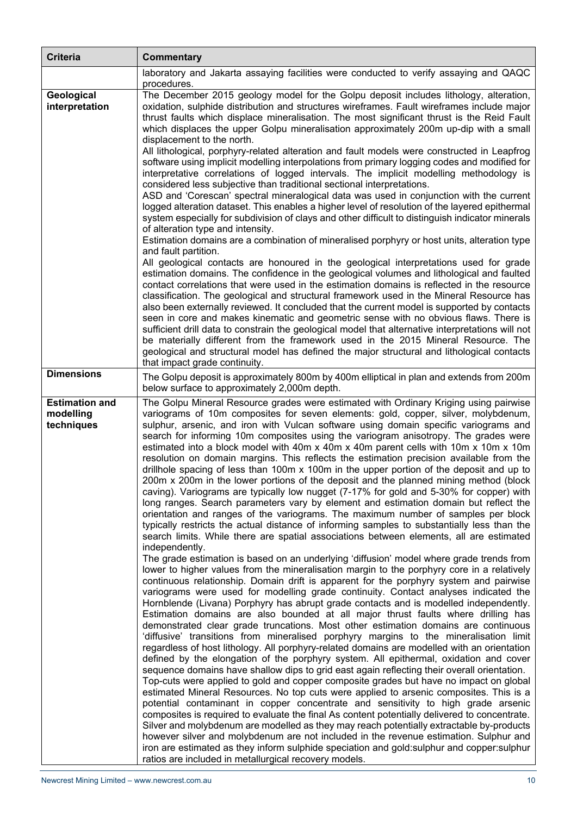| <b>Criteria</b>                                  | <b>Commentary</b>                                                                                                                                                                                                                                                                                                                                                                                                                                                                                                                                                                                                                                                                                                                                                                                                                                                                                                                                                                                                                                                                                                                                                                                                                                                                                                                                                                                                                                                                                                                                                                                                                                                                                                                                                                                                                                                                                                                                                                                                                                                                                                                                                                                                                                                                                                                                                                                                                                                                                                                                                                                                                                                                                                                                                                                                                                                                                                                                                         |
|--------------------------------------------------|---------------------------------------------------------------------------------------------------------------------------------------------------------------------------------------------------------------------------------------------------------------------------------------------------------------------------------------------------------------------------------------------------------------------------------------------------------------------------------------------------------------------------------------------------------------------------------------------------------------------------------------------------------------------------------------------------------------------------------------------------------------------------------------------------------------------------------------------------------------------------------------------------------------------------------------------------------------------------------------------------------------------------------------------------------------------------------------------------------------------------------------------------------------------------------------------------------------------------------------------------------------------------------------------------------------------------------------------------------------------------------------------------------------------------------------------------------------------------------------------------------------------------------------------------------------------------------------------------------------------------------------------------------------------------------------------------------------------------------------------------------------------------------------------------------------------------------------------------------------------------------------------------------------------------------------------------------------------------------------------------------------------------------------------------------------------------------------------------------------------------------------------------------------------------------------------------------------------------------------------------------------------------------------------------------------------------------------------------------------------------------------------------------------------------------------------------------------------------------------------------------------------------------------------------------------------------------------------------------------------------------------------------------------------------------------------------------------------------------------------------------------------------------------------------------------------------------------------------------------------------------------------------------------------------------------------------------------------------|
|                                                  | laboratory and Jakarta assaying facilities were conducted to verify assaying and QAQC<br>procedures.                                                                                                                                                                                                                                                                                                                                                                                                                                                                                                                                                                                                                                                                                                                                                                                                                                                                                                                                                                                                                                                                                                                                                                                                                                                                                                                                                                                                                                                                                                                                                                                                                                                                                                                                                                                                                                                                                                                                                                                                                                                                                                                                                                                                                                                                                                                                                                                                                                                                                                                                                                                                                                                                                                                                                                                                                                                                      |
| Geological<br>interpretation                     | The December 2015 geology model for the Golpu deposit includes lithology, alteration,<br>oxidation, sulphide distribution and structures wireframes. Fault wireframes include major<br>thrust faults which displace mineralisation. The most significant thrust is the Reid Fault<br>which displaces the upper Golpu mineralisation approximately 200m up-dip with a small<br>displacement to the north.<br>All lithological, porphyry-related alteration and fault models were constructed in Leapfrog<br>software using implicit modelling interpolations from primary logging codes and modified for<br>interpretative correlations of logged intervals. The implicit modelling methodology is<br>considered less subjective than traditional sectional interpretations.<br>ASD and 'Corescan' spectral mineralogical data was used in conjunction with the current<br>logged alteration dataset. This enables a higher level of resolution of the layered epithermal<br>system especially for subdivision of clays and other difficult to distinguish indicator minerals<br>of alteration type and intensity.<br>Estimation domains are a combination of mineralised porphyry or host units, alteration type<br>and fault partition.<br>All geological contacts are honoured in the geological interpretations used for grade<br>estimation domains. The confidence in the geological volumes and lithological and faulted<br>contact correlations that were used in the estimation domains is reflected in the resource<br>classification. The geological and structural framework used in the Mineral Resource has<br>also been externally reviewed. It concluded that the current model is supported by contacts<br>seen in core and makes kinematic and geometric sense with no obvious flaws. There is<br>sufficient drill data to constrain the geological model that alternative interpretations will not<br>be materially different from the framework used in the 2015 Mineral Resource. The<br>geological and structural model has defined the major structural and lithological contacts<br>that impact grade continuity.                                                                                                                                                                                                                                                                                                                                                                                                                                                                                                                                                                                                                                                                                                                                                                                                                                  |
| <b>Dimensions</b>                                | The Golpu deposit is approximately 800m by 400m elliptical in plan and extends from 200m<br>below surface to approximately 2,000m depth.                                                                                                                                                                                                                                                                                                                                                                                                                                                                                                                                                                                                                                                                                                                                                                                                                                                                                                                                                                                                                                                                                                                                                                                                                                                                                                                                                                                                                                                                                                                                                                                                                                                                                                                                                                                                                                                                                                                                                                                                                                                                                                                                                                                                                                                                                                                                                                                                                                                                                                                                                                                                                                                                                                                                                                                                                                  |
| <b>Estimation and</b><br>modelling<br>techniques | The Golpu Mineral Resource grades were estimated with Ordinary Kriging using pairwise<br>variograms of 10m composites for seven elements: gold, copper, silver, molybdenum,<br>sulphur, arsenic, and iron with Vulcan software using domain specific variograms and<br>search for informing 10m composites using the variogram anisotropy. The grades were<br>estimated into a block model with 40m x 40m x 40m parent cells with 10m x 10m x 10m<br>resolution on domain margins. This reflects the estimation precision available from the<br>drillhole spacing of less than 100m x 100m in the upper portion of the deposit and up to<br>200m x 200m in the lower portions of the deposit and the planned mining method (block<br>caving). Variograms are typically low nugget (7-17% for gold and 5-30% for copper) with<br>long ranges. Search parameters vary by element and estimation domain but reflect the<br>orientation and ranges of the variograms. The maximum number of samples per block<br>typically restricts the actual distance of informing samples to substantially less than the<br>search limits. While there are spatial associations between elements, all are estimated<br>independently.<br>The grade estimation is based on an underlying 'diffusion' model where grade trends from<br>lower to higher values from the mineralisation margin to the porphyry core in a relatively<br>continuous relationship. Domain drift is apparent for the porphyry system and pairwise<br>variograms were used for modelling grade continuity. Contact analyses indicated the<br>Hornblende (Livana) Porphyry has abrupt grade contacts and is modelled independently.<br>Estimation domains are also bounded at all major thrust faults where drilling has<br>demonstrated clear grade truncations. Most other estimation domains are continuous<br>'diffusive' transitions from mineralised porphyry margins to the mineralisation limit<br>regardless of host lithology. All porphyry-related domains are modelled with an orientation<br>defined by the elongation of the porphyry system. All epithermal, oxidation and cover<br>sequence domains have shallow dips to grid east again reflecting their overall orientation.<br>Top-cuts were applied to gold and copper composite grades but have no impact on global<br>estimated Mineral Resources. No top cuts were applied to arsenic composites. This is a<br>potential contaminant in copper concentrate and sensitivity to high grade arsenic<br>composites is required to evaluate the final As content potentially delivered to concentrate.<br>Silver and molybdenum are modelled as they may reach potentially extractable by-products<br>however silver and molybdenum are not included in the revenue estimation. Sulphur and<br>iron are estimated as they inform sulphide speciation and gold:sulphur and copper:sulphur<br>ratios are included in metallurgical recovery models. |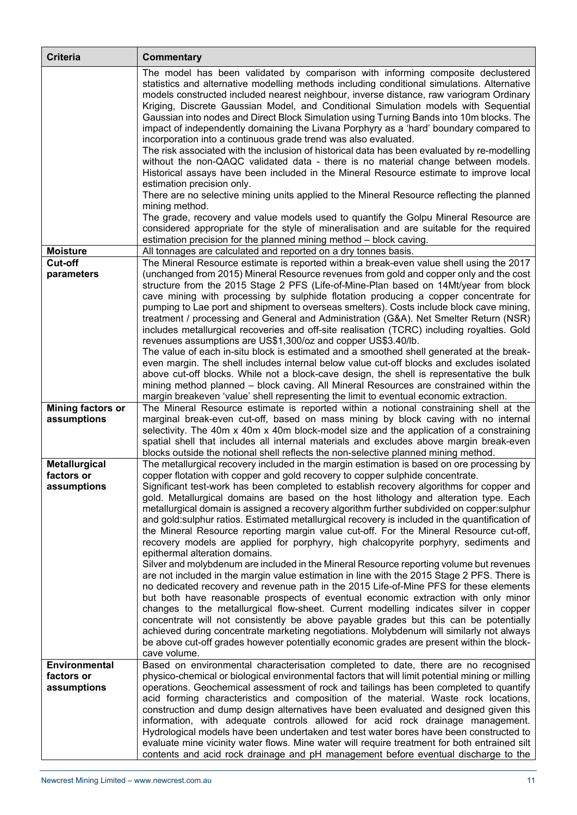| <b>Criteria</b>                    | <b>Commentary</b>                                                                                                                                                                                                                                                                                                                                                                                                                                                                                                                                                                                                         |
|------------------------------------|---------------------------------------------------------------------------------------------------------------------------------------------------------------------------------------------------------------------------------------------------------------------------------------------------------------------------------------------------------------------------------------------------------------------------------------------------------------------------------------------------------------------------------------------------------------------------------------------------------------------------|
|                                    | The model has been validated by comparison with informing composite declustered<br>statistics and alternative modelling methods including conditional simulations. Alternative<br>models constructed included nearest neighbour, inverse distance, raw variogram Ordinary<br>Kriging, Discrete Gaussian Model, and Conditional Simulation models with Sequential<br>Gaussian into nodes and Direct Block Simulation using Turning Bands into 10m blocks. The<br>impact of independently domaining the Livana Porphyry as a 'hard' boundary compared to<br>incorporation into a continuous grade trend was also evaluated. |
|                                    | The risk associated with the inclusion of historical data has been evaluated by re-modelling<br>without the non-QAQC validated data - there is no material change between models.<br>Historical assays have been included in the Mineral Resource estimate to improve local                                                                                                                                                                                                                                                                                                                                               |
|                                    | estimation precision only.<br>There are no selective mining units applied to the Mineral Resource reflecting the planned<br>mining method.                                                                                                                                                                                                                                                                                                                                                                                                                                                                                |
|                                    | The grade, recovery and value models used to quantify the Golpu Mineral Resource are<br>considered appropriate for the style of mineralisation and are suitable for the required<br>estimation precision for the planned mining method - block caving.                                                                                                                                                                                                                                                                                                                                                                    |
| <b>Moisture</b>                    | All tonnages are calculated and reported on a dry tonnes basis.                                                                                                                                                                                                                                                                                                                                                                                                                                                                                                                                                           |
| Cut-off<br>parameters              | The Mineral Resource estimate is reported within a break-even value shell using the 2017<br>(unchanged from 2015) Mineral Resource revenues from gold and copper only and the cost<br>structure from the 2015 Stage 2 PFS (Life-of-Mine-Plan based on 14Mt/year from block<br>cave mining with processing by sulphide flotation producing a copper concentrate for                                                                                                                                                                                                                                                        |
|                                    | pumping to Lae port and shipment to overseas smelters). Costs include block cave mining,<br>treatment / processing and General and Administration (G&A). Net Smelter Return (NSR)<br>includes metallurgical recoveries and off-site realisation (TCRC) including royalties. Gold<br>revenues assumptions are US\$1,300/oz and copper US\$3.40/lb.                                                                                                                                                                                                                                                                         |
|                                    | The value of each in-situ block is estimated and a smoothed shell generated at the break-<br>even margin. The shell includes internal below value cut-off blocks and excludes isolated<br>above cut-off blocks. While not a block-cave design, the shell is representative the bulk<br>mining method planned - block caving. All Mineral Resources are constrained within the                                                                                                                                                                                                                                             |
|                                    | margin breakeven 'value' shell representing the limit to eventual economic extraction.                                                                                                                                                                                                                                                                                                                                                                                                                                                                                                                                    |
| <b>Mining factors or</b>           | The Mineral Resource estimate is reported within a notional constraining shell at the                                                                                                                                                                                                                                                                                                                                                                                                                                                                                                                                     |
| assumptions                        | marginal break-even cut-off, based on mass mining by block caving with no internal<br>selectivity. The 40m x 40m x 40m block-model size and the application of a constraining<br>spatial shell that includes all internal materials and excludes above margin break-even                                                                                                                                                                                                                                                                                                                                                  |
|                                    | blocks outside the notional shell reflects the non-selective planned mining method.                                                                                                                                                                                                                                                                                                                                                                                                                                                                                                                                       |
| <b>Metallurgical</b><br>factors or | The metallurgical recovery included in the margin estimation is based on ore processing by<br>copper flotation with copper and gold recovery to copper sulphide concentrate.                                                                                                                                                                                                                                                                                                                                                                                                                                              |
| assumptions                        | Significant test-work has been completed to establish recovery algorithms for copper and                                                                                                                                                                                                                                                                                                                                                                                                                                                                                                                                  |
|                                    | gold. Metallurgical domains are based on the host lithology and alteration type. Each                                                                                                                                                                                                                                                                                                                                                                                                                                                                                                                                     |
|                                    | metallurgical domain is assigned a recovery algorithm further subdivided on copper:sulphur                                                                                                                                                                                                                                                                                                                                                                                                                                                                                                                                |
|                                    | and gold:sulphur ratios. Estimated metallurgical recovery is included in the quantification of<br>the Mineral Resource reporting margin value cut-off. For the Mineral Resource cut-off,                                                                                                                                                                                                                                                                                                                                                                                                                                  |
|                                    | recovery models are applied for porphyry, high chalcopyrite porphyry, sediments and<br>epithermal alteration domains.                                                                                                                                                                                                                                                                                                                                                                                                                                                                                                     |
|                                    | Silver and molybdenum are included in the Mineral Resource reporting volume but revenues                                                                                                                                                                                                                                                                                                                                                                                                                                                                                                                                  |
|                                    | are not included in the margin value estimation in line with the 2015 Stage 2 PFS. There is<br>no dedicated recovery and revenue path in the 2015 Life-of-Mine PFS for these elements                                                                                                                                                                                                                                                                                                                                                                                                                                     |
|                                    | but both have reasonable prospects of eventual economic extraction with only minor                                                                                                                                                                                                                                                                                                                                                                                                                                                                                                                                        |
|                                    | changes to the metallurgical flow-sheet. Current modelling indicates silver in copper                                                                                                                                                                                                                                                                                                                                                                                                                                                                                                                                     |
|                                    | concentrate will not consistently be above payable grades but this can be potentially<br>achieved during concentrate marketing negotiations. Molybdenum will similarly not always                                                                                                                                                                                                                                                                                                                                                                                                                                         |
|                                    | be above cut-off grades however potentially economic grades are present within the block-                                                                                                                                                                                                                                                                                                                                                                                                                                                                                                                                 |
|                                    | cave volume.                                                                                                                                                                                                                                                                                                                                                                                                                                                                                                                                                                                                              |
| Environmental<br>factors or        | Based on environmental characterisation completed to date, there are no recognised<br>physico-chemical or biological environmental factors that will limit potential mining or milling                                                                                                                                                                                                                                                                                                                                                                                                                                    |
| assumptions                        | operations. Geochemical assessment of rock and tailings has been completed to quantify                                                                                                                                                                                                                                                                                                                                                                                                                                                                                                                                    |
|                                    | acid forming characteristics and composition of the material. Waste rock locations,                                                                                                                                                                                                                                                                                                                                                                                                                                                                                                                                       |
|                                    | construction and dump design alternatives have been evaluated and designed given this<br>information, with adequate controls allowed for acid rock drainage management.                                                                                                                                                                                                                                                                                                                                                                                                                                                   |
|                                    | Hydrological models have been undertaken and test water bores have been constructed to                                                                                                                                                                                                                                                                                                                                                                                                                                                                                                                                    |
|                                    | evaluate mine vicinity water flows. Mine water will require treatment for both entrained silt                                                                                                                                                                                                                                                                                                                                                                                                                                                                                                                             |
|                                    | contents and acid rock drainage and pH management before eventual discharge to the                                                                                                                                                                                                                                                                                                                                                                                                                                                                                                                                        |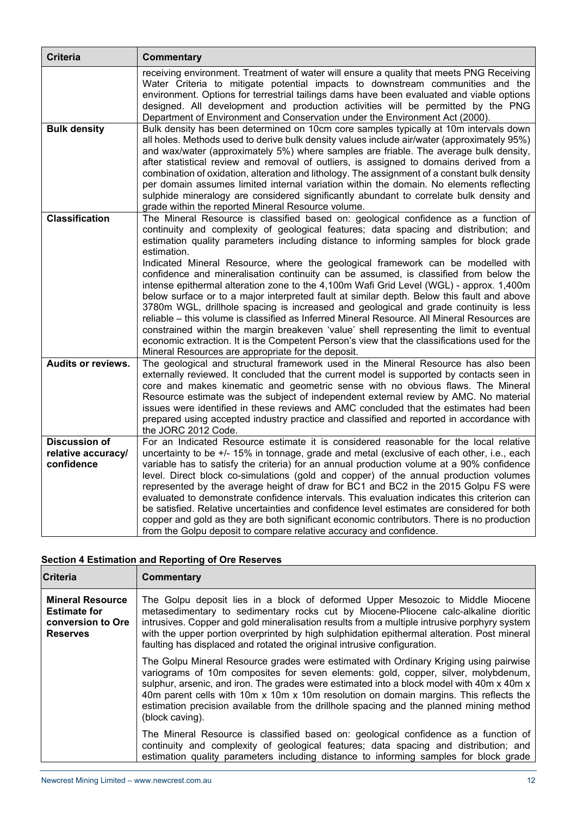| <b>Criteria</b>                                          | <b>Commentary</b>                                                                                                                                                                                                                                                                                                                                                                                                                                                                                                                                                                                                                                                                                                                                                                                                                   |
|----------------------------------------------------------|-------------------------------------------------------------------------------------------------------------------------------------------------------------------------------------------------------------------------------------------------------------------------------------------------------------------------------------------------------------------------------------------------------------------------------------------------------------------------------------------------------------------------------------------------------------------------------------------------------------------------------------------------------------------------------------------------------------------------------------------------------------------------------------------------------------------------------------|
|                                                          | receiving environment. Treatment of water will ensure a quality that meets PNG Receiving<br>Water Criteria to mitigate potential impacts to downstream communities and the<br>environment. Options for terrestrial tailings dams have been evaluated and viable options<br>designed. All development and production activities will be permitted by the PNG<br>Department of Environment and Conservation under the Environment Act (2000).                                                                                                                                                                                                                                                                                                                                                                                         |
| <b>Bulk density</b>                                      | Bulk density has been determined on 10cm core samples typically at 10m intervals down<br>all holes. Methods used to derive bulk density values include air/water (approximately 95%)<br>and wax/water (approximately 5%) where samples are friable. The average bulk density,<br>after statistical review and removal of outliers, is assigned to domains derived from a<br>combination of oxidation, alteration and lithology. The assignment of a constant bulk density<br>per domain assumes limited internal variation within the domain. No elements reflecting<br>sulphide mineralogy are considered significantly abundant to correlate bulk density and<br>grade within the reported Mineral Resource volume.                                                                                                               |
| <b>Classification</b>                                    | The Mineral Resource is classified based on: geological confidence as a function of<br>continuity and complexity of geological features; data spacing and distribution; and<br>estimation quality parameters including distance to informing samples for block grade<br>estimation.                                                                                                                                                                                                                                                                                                                                                                                                                                                                                                                                                 |
|                                                          | Indicated Mineral Resource, where the geological framework can be modelled with<br>confidence and mineralisation continuity can be assumed, is classified from below the<br>intense epithermal alteration zone to the 4,100m Wafi Grid Level (WGL) - approx. 1,400m<br>below surface or to a major interpreted fault at similar depth. Below this fault and above<br>3780m WGL, drillhole spacing is increased and geological and grade continuity is less<br>reliable - this volume is classified as Inferred Mineral Resource. All Mineral Resources are<br>constrained within the margin breakeven 'value' shell representing the limit to eventual<br>economic extraction. It is the Competent Person's view that the classifications used for the<br>Mineral Resources are appropriate for the deposit.                        |
| Audits or reviews.                                       | The geological and structural framework used in the Mineral Resource has also been<br>externally reviewed. It concluded that the current model is supported by contacts seen in<br>core and makes kinematic and geometric sense with no obvious flaws. The Mineral<br>Resource estimate was the subject of independent external review by AMC. No material<br>issues were identified in these reviews and AMC concluded that the estimates had been<br>prepared using accepted industry practice and classified and reported in accordance with<br>the JORC 2012 Code.                                                                                                                                                                                                                                                              |
| <b>Discussion of</b><br>relative accuracy/<br>confidence | For an Indicated Resource estimate it is considered reasonable for the local relative<br>uncertainty to be +/- 15% in tonnage, grade and metal (exclusive of each other, i.e., each<br>variable has to satisfy the criteria) for an annual production volume at a 90% confidence<br>level. Direct block co-simulations (gold and copper) of the annual production volumes<br>represented by the average height of draw for BC1 and BC2 in the 2015 Golpu FS were<br>evaluated to demonstrate confidence intervals. This evaluation indicates this criterion can<br>be satisfied. Relative uncertainties and confidence level estimates are considered for both<br>copper and gold as they are both significant economic contributors. There is no production<br>from the Golpu deposit to compare relative accuracy and confidence. |

# **Section 4 Estimation and Reporting of Ore Reserves**

| <b>Criteria</b>                                                                        | <b>Commentary</b>                                                                                                                                                                                                                                                                                                                                                                                                                                                               |
|----------------------------------------------------------------------------------------|---------------------------------------------------------------------------------------------------------------------------------------------------------------------------------------------------------------------------------------------------------------------------------------------------------------------------------------------------------------------------------------------------------------------------------------------------------------------------------|
| <b>Mineral Resource</b><br><b>Estimate for</b><br>conversion to Ore<br><b>Reserves</b> | The Golpu deposit lies in a block of deformed Upper Mesozoic to Middle Miocene<br>metasedimentary to sedimentary rocks cut by Miocene-Pliocene calc-alkaline dioritic<br>intrusives. Copper and gold mineralisation results from a multiple intrusive porphyry system<br>with the upper portion overprinted by high sulphidation epithermal alteration. Post mineral<br>faulting has displaced and rotated the original intrusive configuration.                                |
|                                                                                        | The Golpu Mineral Resource grades were estimated with Ordinary Kriging using pairwise<br>variograms of 10m composites for seven elements: gold, copper, silver, molybdenum,<br>sulphur, arsenic, and iron. The grades were estimated into a block model with 40m x 40m x<br>40m parent cells with 10m x 10m x 10m resolution on domain margins. This reflects the<br>estimation precision available from the drillhole spacing and the planned mining method<br>(block caving). |
|                                                                                        | The Mineral Resource is classified based on: geological confidence as a function of<br>continuity and complexity of geological features; data spacing and distribution; and<br>estimation quality parameters including distance to informing samples for block grade                                                                                                                                                                                                            |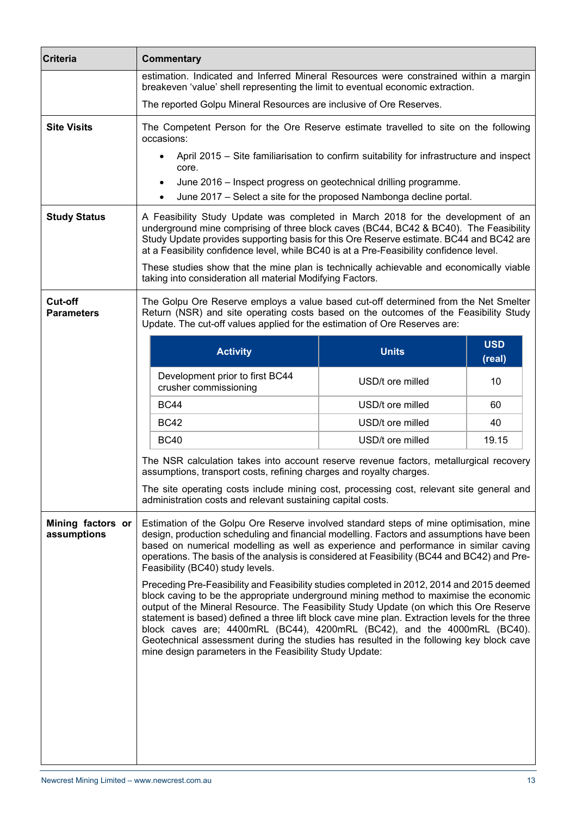| <b>Criteria</b>                     | <b>Commentary</b>                                                                                                                                                                                                                                                                                                                                                                                                                                                                                                                                                                                                 |                                                                     |                      |
|-------------------------------------|-------------------------------------------------------------------------------------------------------------------------------------------------------------------------------------------------------------------------------------------------------------------------------------------------------------------------------------------------------------------------------------------------------------------------------------------------------------------------------------------------------------------------------------------------------------------------------------------------------------------|---------------------------------------------------------------------|----------------------|
|                                     | estimation. Indicated and Inferred Mineral Resources were constrained within a margin<br>breakeven 'value' shell representing the limit to eventual economic extraction.                                                                                                                                                                                                                                                                                                                                                                                                                                          |                                                                     |                      |
|                                     | The reported Golpu Mineral Resources are inclusive of Ore Reserves.                                                                                                                                                                                                                                                                                                                                                                                                                                                                                                                                               |                                                                     |                      |
| <b>Site Visits</b>                  | The Competent Person for the Ore Reserve estimate travelled to site on the following<br>occasions:                                                                                                                                                                                                                                                                                                                                                                                                                                                                                                                |                                                                     |                      |
|                                     | April 2015 - Site familiarisation to confirm suitability for infrastructure and inspect<br>$\bullet$<br>core.                                                                                                                                                                                                                                                                                                                                                                                                                                                                                                     |                                                                     |                      |
|                                     | June 2016 - Inspect progress on geotechnical drilling programme.                                                                                                                                                                                                                                                                                                                                                                                                                                                                                                                                                  |                                                                     |                      |
|                                     |                                                                                                                                                                                                                                                                                                                                                                                                                                                                                                                                                                                                                   | June 2017 - Select a site for the proposed Nambonga decline portal. |                      |
| <b>Study Status</b>                 | A Feasibility Study Update was completed in March 2018 for the development of an<br>underground mine comprising of three block caves (BC44, BC42 & BC40). The Feasibility<br>Study Update provides supporting basis for this Ore Reserve estimate. BC44 and BC42 are<br>at a Feasibility confidence level, while BC40 is at a Pre-Feasibility confidence level.                                                                                                                                                                                                                                                   |                                                                     |                      |
|                                     | These studies show that the mine plan is technically achievable and economically viable<br>taking into consideration all material Modifying Factors.                                                                                                                                                                                                                                                                                                                                                                                                                                                              |                                                                     |                      |
| <b>Cut-off</b><br><b>Parameters</b> | The Golpu Ore Reserve employs a value based cut-off determined from the Net Smelter<br>Return (NSR) and site operating costs based on the outcomes of the Feasibility Study<br>Update. The cut-off values applied for the estimation of Ore Reserves are:                                                                                                                                                                                                                                                                                                                                                         |                                                                     |                      |
|                                     | <b>Activity</b>                                                                                                                                                                                                                                                                                                                                                                                                                                                                                                                                                                                                   | <b>Units</b>                                                        | <b>USD</b><br>(real) |
|                                     | Development prior to first BC44<br>crusher commissioning                                                                                                                                                                                                                                                                                                                                                                                                                                                                                                                                                          | USD/t ore milled                                                    | 10                   |
|                                     | <b>BC44</b>                                                                                                                                                                                                                                                                                                                                                                                                                                                                                                                                                                                                       | USD/t ore milled                                                    | 60                   |
|                                     | <b>BC42</b>                                                                                                                                                                                                                                                                                                                                                                                                                                                                                                                                                                                                       | USD/t ore milled                                                    | 40                   |
|                                     | <b>BC40</b>                                                                                                                                                                                                                                                                                                                                                                                                                                                                                                                                                                                                       | USD/t ore milled                                                    | 19.15                |
|                                     | The NSR calculation takes into account reserve revenue factors, metallurgical recovery<br>assumptions, transport costs, refining charges and royalty charges.                                                                                                                                                                                                                                                                                                                                                                                                                                                     |                                                                     |                      |
|                                     | The site operating costs include mining cost, processing cost, relevant site general and<br>administration costs and relevant sustaining capital costs.                                                                                                                                                                                                                                                                                                                                                                                                                                                           |                                                                     |                      |
| Mining factors or<br>assumptions    | Estimation of the Golpu Ore Reserve involved standard steps of mine optimisation, mine<br>design, production scheduling and financial modelling. Factors and assumptions have been<br>based on numerical modelling as well as experience and performance in similar caving<br>operations. The basis of the analysis is considered at Feasibility (BC44 and BC42) and Pre-<br>Feasibility (BC40) study levels.                                                                                                                                                                                                     |                                                                     |                      |
|                                     | Preceding Pre-Feasibility and Feasibility studies completed in 2012, 2014 and 2015 deemed<br>block caving to be the appropriate underground mining method to maximise the economic<br>output of the Mineral Resource. The Feasibility Study Update (on which this Ore Reserve<br>statement is based) defined a three lift block cave mine plan. Extraction levels for the three<br>block caves are; 4400mRL (BC44), 4200mRL (BC42), and the 4000mRL (BC40).<br>Geotechnical assessment during the studies has resulted in the following key block cave<br>mine design parameters in the Feasibility Study Update: |                                                                     |                      |
|                                     |                                                                                                                                                                                                                                                                                                                                                                                                                                                                                                                                                                                                                   |                                                                     |                      |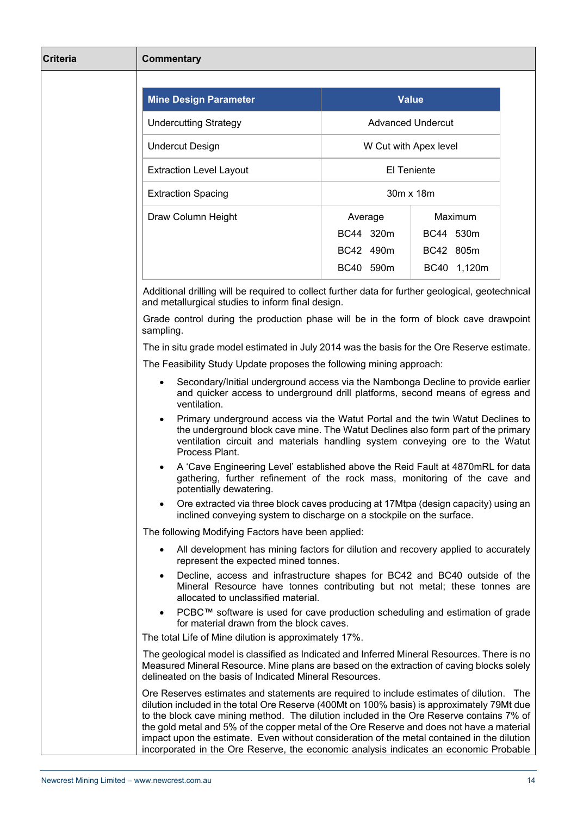| <b>Criteria</b> | <b>Commentary</b>                                                                                                                                                                                                                                                                                                                                                                                                                                                                                                                                                       |           |                          |  |
|-----------------|-------------------------------------------------------------------------------------------------------------------------------------------------------------------------------------------------------------------------------------------------------------------------------------------------------------------------------------------------------------------------------------------------------------------------------------------------------------------------------------------------------------------------------------------------------------------------|-----------|--------------------------|--|
|                 |                                                                                                                                                                                                                                                                                                                                                                                                                                                                                                                                                                         |           |                          |  |
|                 | <b>Mine Design Parameter</b>                                                                                                                                                                                                                                                                                                                                                                                                                                                                                                                                            |           | <b>Value</b>             |  |
|                 | <b>Undercutting Strategy</b>                                                                                                                                                                                                                                                                                                                                                                                                                                                                                                                                            |           | <b>Advanced Undercut</b> |  |
|                 | <b>Undercut Design</b>                                                                                                                                                                                                                                                                                                                                                                                                                                                                                                                                                  |           | W Cut with Apex level    |  |
|                 | <b>Extraction Level Layout</b>                                                                                                                                                                                                                                                                                                                                                                                                                                                                                                                                          |           | El Teniente              |  |
|                 | <b>Extraction Spacing</b>                                                                                                                                                                                                                                                                                                                                                                                                                                                                                                                                               |           | 30m x 18m                |  |
|                 | Draw Column Height                                                                                                                                                                                                                                                                                                                                                                                                                                                                                                                                                      | Average   | Maximum                  |  |
|                 |                                                                                                                                                                                                                                                                                                                                                                                                                                                                                                                                                                         | BC44 320m | BC44 530m                |  |
|                 |                                                                                                                                                                                                                                                                                                                                                                                                                                                                                                                                                                         | BC42 490m | BC42 805m                |  |
|                 |                                                                                                                                                                                                                                                                                                                                                                                                                                                                                                                                                                         | BC40 590m | BC40 1,120m              |  |
|                 | Additional drilling will be required to collect further data for further geological, geotechnical<br>and metallurgical studies to inform final design.                                                                                                                                                                                                                                                                                                                                                                                                                  |           |                          |  |
|                 | Grade control during the production phase will be in the form of block cave drawpoint<br>sampling.                                                                                                                                                                                                                                                                                                                                                                                                                                                                      |           |                          |  |
|                 | The in situ grade model estimated in July 2014 was the basis for the Ore Reserve estimate.                                                                                                                                                                                                                                                                                                                                                                                                                                                                              |           |                          |  |
|                 | The Feasibility Study Update proposes the following mining approach:                                                                                                                                                                                                                                                                                                                                                                                                                                                                                                    |           |                          |  |
|                 | Secondary/Initial underground access via the Nambonga Decline to provide earlier<br>$\bullet$<br>and quicker access to underground drill platforms, second means of egress and<br>ventilation.                                                                                                                                                                                                                                                                                                                                                                          |           |                          |  |
|                 | Primary underground access via the Watut Portal and the twin Watut Declines to<br>the underground block cave mine. The Watut Declines also form part of the primary<br>ventilation circuit and materials handling system conveying ore to the Watut<br>Process Plant.                                                                                                                                                                                                                                                                                                   |           |                          |  |
|                 | A 'Cave Engineering Level' established above the Reid Fault at 4870mRL for data<br>gathering, further refinement of the rock mass, monitoring of the cave and<br>potentially dewatering.                                                                                                                                                                                                                                                                                                                                                                                |           |                          |  |
|                 | Ore extracted via three block caves producing at 17Mtpa (design capacity) using an<br>$\bullet$<br>inclined conveying system to discharge on a stockpile on the surface.                                                                                                                                                                                                                                                                                                                                                                                                |           |                          |  |
|                 | The following Modifying Factors have been applied:                                                                                                                                                                                                                                                                                                                                                                                                                                                                                                                      |           |                          |  |
|                 | All development has mining factors for dilution and recovery applied to accurately<br>$\bullet$<br>represent the expected mined tonnes.                                                                                                                                                                                                                                                                                                                                                                                                                                 |           |                          |  |
|                 | Decline, access and infrastructure shapes for BC42 and BC40 outside of the<br>$\bullet$<br>Mineral Resource have tonnes contributing but not metal; these tonnes are<br>allocated to unclassified material.                                                                                                                                                                                                                                                                                                                                                             |           |                          |  |
|                 | PCBC™ software is used for cave production scheduling and estimation of grade<br>for material drawn from the block caves.                                                                                                                                                                                                                                                                                                                                                                                                                                               |           |                          |  |
|                 | The total Life of Mine dilution is approximately 17%.                                                                                                                                                                                                                                                                                                                                                                                                                                                                                                                   |           |                          |  |
|                 | The geological model is classified as Indicated and Inferred Mineral Resources. There is no<br>Measured Mineral Resource. Mine plans are based on the extraction of caving blocks solely<br>delineated on the basis of Indicated Mineral Resources.                                                                                                                                                                                                                                                                                                                     |           |                          |  |
|                 | Ore Reserves estimates and statements are required to include estimates of dilution. The<br>dilution included in the total Ore Reserve (400Mt on 100% basis) is approximately 79Mt due<br>to the block cave mining method. The dilution included in the Ore Reserve contains 7% of<br>the gold metal and 5% of the copper metal of the Ore Reserve and does not have a material<br>impact upon the estimate. Even without consideration of the metal contained in the dilution<br>incorporated in the Ore Reserve, the economic analysis indicates an economic Probable |           |                          |  |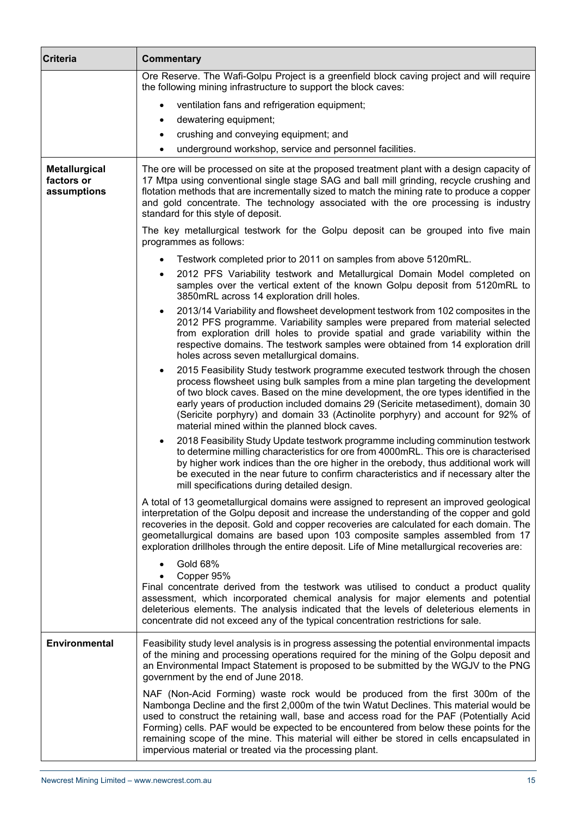| <b>Criteria</b>                                   | <b>Commentary</b>                                                                                                                                                                                                                                                                                                                                                                                                                                                                                                          |  |
|---------------------------------------------------|----------------------------------------------------------------------------------------------------------------------------------------------------------------------------------------------------------------------------------------------------------------------------------------------------------------------------------------------------------------------------------------------------------------------------------------------------------------------------------------------------------------------------|--|
|                                                   | Ore Reserve. The Wafi-Golpu Project is a greenfield block caving project and will require<br>the following mining infrastructure to support the block caves:                                                                                                                                                                                                                                                                                                                                                               |  |
|                                                   | ventilation fans and refrigeration equipment;<br>$\bullet$                                                                                                                                                                                                                                                                                                                                                                                                                                                                 |  |
|                                                   | dewatering equipment;<br>٠                                                                                                                                                                                                                                                                                                                                                                                                                                                                                                 |  |
|                                                   | crushing and conveying equipment; and<br>$\bullet$                                                                                                                                                                                                                                                                                                                                                                                                                                                                         |  |
|                                                   | underground workshop, service and personnel facilities.<br>٠                                                                                                                                                                                                                                                                                                                                                                                                                                                               |  |
| <b>Metallurgical</b><br>factors or<br>assumptions | The ore will be processed on site at the proposed treatment plant with a design capacity of<br>17 Mtpa using conventional single stage SAG and ball mill grinding, recycle crushing and<br>flotation methods that are incrementally sized to match the mining rate to produce a copper<br>and gold concentrate. The technology associated with the ore processing is industry<br>standard for this style of deposit.                                                                                                       |  |
|                                                   | The key metallurgical testwork for the Golpu deposit can be grouped into five main<br>programmes as follows:                                                                                                                                                                                                                                                                                                                                                                                                               |  |
|                                                   | Testwork completed prior to 2011 on samples from above 5120mRL.<br>$\bullet$                                                                                                                                                                                                                                                                                                                                                                                                                                               |  |
|                                                   | 2012 PFS Variability testwork and Metallurgical Domain Model completed on<br>samples over the vertical extent of the known Golpu deposit from 5120mRL to<br>3850mRL across 14 exploration drill holes.                                                                                                                                                                                                                                                                                                                     |  |
|                                                   | 2013/14 Variability and flowsheet development testwork from 102 composites in the<br>$\bullet$<br>2012 PFS programme. Variability samples were prepared from material selected<br>from exploration drill holes to provide spatial and grade variability within the<br>respective domains. The testwork samples were obtained from 14 exploration drill<br>holes across seven metallurgical domains.                                                                                                                        |  |
|                                                   | 2015 Feasibility Study testwork programme executed testwork through the chosen<br>٠<br>process flowsheet using bulk samples from a mine plan targeting the development<br>of two block caves. Based on the mine development, the ore types identified in the<br>early years of production included domains 29 (Sericite metasediment), domain 30<br>(Sericite porphyry) and domain 33 (Actinolite porphyry) and account for 92% of<br>material mined within the planned block caves.                                       |  |
|                                                   | 2018 Feasibility Study Update testwork programme including comminution testwork<br>$\bullet$<br>to determine milling characteristics for ore from 4000mRL. This ore is characterised<br>by higher work indices than the ore higher in the orebody, thus additional work will<br>be executed in the near future to confirm characteristics and if necessary alter the<br>mill specifications during detailed design.                                                                                                        |  |
|                                                   | A total of 13 geometallurgical domains were assigned to represent an improved geological<br>interpretation of the Golpu deposit and increase the understanding of the copper and gold<br>recoveries in the deposit. Gold and copper recoveries are calculated for each domain. The<br>geometallurgical domains are based upon 103 composite samples assembled from 17<br>exploration drillholes through the entire deposit. Life of Mine metallurgical recoveries are:                                                     |  |
|                                                   | <b>Gold 68%</b><br>Copper 95%<br>$\bullet$<br>Final concentrate derived from the testwork was utilised to conduct a product quality<br>assessment, which incorporated chemical analysis for major elements and potential<br>deleterious elements. The analysis indicated that the levels of deleterious elements in<br>concentrate did not exceed any of the typical concentration restrictions for sale.                                                                                                                  |  |
| <b>Environmental</b>                              | Feasibility study level analysis is in progress assessing the potential environmental impacts<br>of the mining and processing operations required for the mining of the Golpu deposit and<br>an Environmental Impact Statement is proposed to be submitted by the WGJV to the PNG<br>government by the end of June 2018.                                                                                                                                                                                                   |  |
|                                                   | NAF (Non-Acid Forming) waste rock would be produced from the first 300m of the<br>Nambonga Decline and the first 2,000m of the twin Watut Declines. This material would be<br>used to construct the retaining wall, base and access road for the PAF (Potentially Acid<br>Forming) cells. PAF would be expected to be encountered from below these points for the<br>remaining scope of the mine. This material will either be stored in cells encapsulated in<br>impervious material or treated via the processing plant. |  |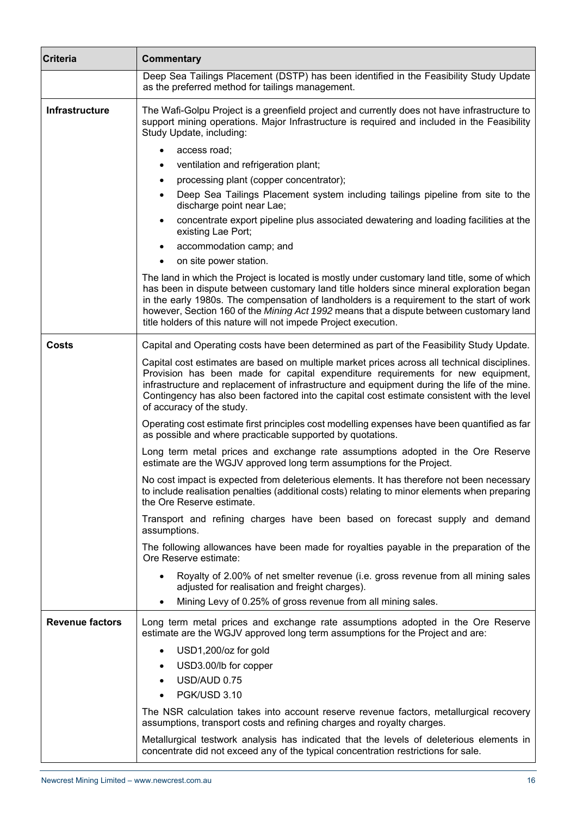| <b>Criteria</b>        | <b>Commentary</b>                                                                                                                                                                                                                                                                                                                                                                                                                                   |  |
|------------------------|-----------------------------------------------------------------------------------------------------------------------------------------------------------------------------------------------------------------------------------------------------------------------------------------------------------------------------------------------------------------------------------------------------------------------------------------------------|--|
|                        | Deep Sea Tailings Placement (DSTP) has been identified in the Feasibility Study Update<br>as the preferred method for tailings management.                                                                                                                                                                                                                                                                                                          |  |
| Infrastructure         | The Wafi-Golpu Project is a greenfield project and currently does not have infrastructure to<br>support mining operations. Major Infrastructure is required and included in the Feasibility<br>Study Update, including:                                                                                                                                                                                                                             |  |
|                        | access road;                                                                                                                                                                                                                                                                                                                                                                                                                                        |  |
|                        | ventilation and refrigeration plant;<br>٠                                                                                                                                                                                                                                                                                                                                                                                                           |  |
|                        | processing plant (copper concentrator);<br>$\bullet$                                                                                                                                                                                                                                                                                                                                                                                                |  |
|                        | Deep Sea Tailings Placement system including tailings pipeline from site to the<br>$\bullet$<br>discharge point near Lae;                                                                                                                                                                                                                                                                                                                           |  |
|                        | concentrate export pipeline plus associated dewatering and loading facilities at the<br>$\bullet$<br>existing Lae Port;                                                                                                                                                                                                                                                                                                                             |  |
|                        | accommodation camp; and                                                                                                                                                                                                                                                                                                                                                                                                                             |  |
|                        | on site power station.<br>$\bullet$                                                                                                                                                                                                                                                                                                                                                                                                                 |  |
|                        | The land in which the Project is located is mostly under customary land title, some of which<br>has been in dispute between customary land title holders since mineral exploration began<br>in the early 1980s. The compensation of landholders is a requirement to the start of work<br>however, Section 160 of the Mining Act 1992 means that a dispute between customary land<br>title holders of this nature will not impede Project execution. |  |
| <b>Costs</b>           | Capital and Operating costs have been determined as part of the Feasibility Study Update.                                                                                                                                                                                                                                                                                                                                                           |  |
|                        | Capital cost estimates are based on multiple market prices across all technical disciplines.<br>Provision has been made for capital expenditure requirements for new equipment,<br>infrastructure and replacement of infrastructure and equipment during the life of the mine.<br>Contingency has also been factored into the capital cost estimate consistent with the level<br>of accuracy of the study.                                          |  |
|                        | Operating cost estimate first principles cost modelling expenses have been quantified as far<br>as possible and where practicable supported by quotations.                                                                                                                                                                                                                                                                                          |  |
|                        | Long term metal prices and exchange rate assumptions adopted in the Ore Reserve<br>estimate are the WGJV approved long term assumptions for the Project.                                                                                                                                                                                                                                                                                            |  |
|                        | No cost impact is expected from deleterious elements. It has therefore not been necessary<br>to include realisation penalties (additional costs) relating to minor elements when preparing<br>the Ore Reserve estimate.                                                                                                                                                                                                                             |  |
|                        | Transport and refining charges have been based on forecast supply and demand<br>assumptions.                                                                                                                                                                                                                                                                                                                                                        |  |
|                        | The following allowances have been made for royalties payable in the preparation of the<br>Ore Reserve estimate:                                                                                                                                                                                                                                                                                                                                    |  |
|                        | Royalty of 2.00% of net smelter revenue (i.e. gross revenue from all mining sales<br>adjusted for realisation and freight charges).<br>Mining Levy of 0.25% of gross revenue from all mining sales.<br>٠                                                                                                                                                                                                                                            |  |
| <b>Revenue factors</b> | Long term metal prices and exchange rate assumptions adopted in the Ore Reserve<br>estimate are the WGJV approved long term assumptions for the Project and are:                                                                                                                                                                                                                                                                                    |  |
|                        |                                                                                                                                                                                                                                                                                                                                                                                                                                                     |  |
|                        | USD1,200/oz for gold<br>$\bullet$<br>USD3.00/lb for copper                                                                                                                                                                                                                                                                                                                                                                                          |  |
|                        | USD/AUD 0.75                                                                                                                                                                                                                                                                                                                                                                                                                                        |  |
|                        | PGK/USD 3.10<br>$\bullet$                                                                                                                                                                                                                                                                                                                                                                                                                           |  |
|                        | The NSR calculation takes into account reserve revenue factors, metallurgical recovery                                                                                                                                                                                                                                                                                                                                                              |  |
|                        | assumptions, transport costs and refining charges and royalty charges.                                                                                                                                                                                                                                                                                                                                                                              |  |
|                        | Metallurgical testwork analysis has indicated that the levels of deleterious elements in<br>concentrate did not exceed any of the typical concentration restrictions for sale.                                                                                                                                                                                                                                                                      |  |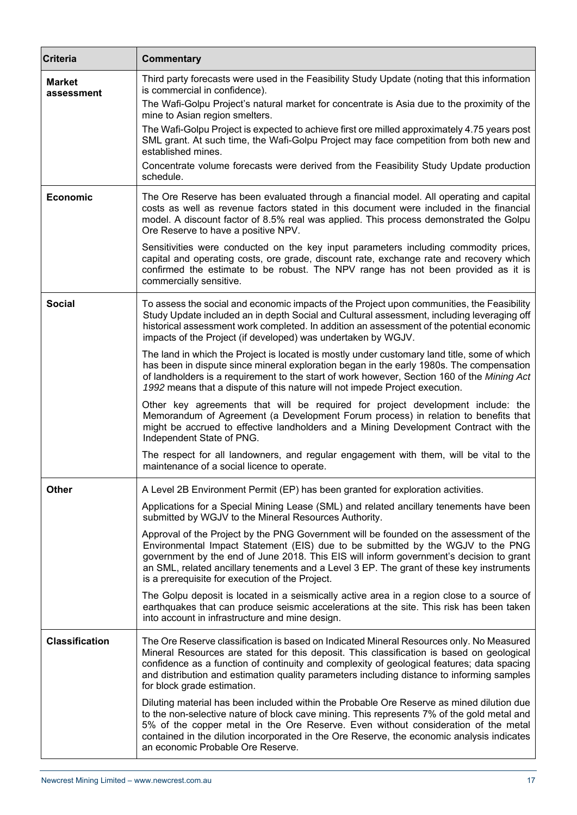| <b>Criteria</b>             | <b>Commentary</b>                                                                                                                                                                                                                                                                                                                                                                                                   |
|-----------------------------|---------------------------------------------------------------------------------------------------------------------------------------------------------------------------------------------------------------------------------------------------------------------------------------------------------------------------------------------------------------------------------------------------------------------|
| <b>Market</b><br>assessment | Third party forecasts were used in the Feasibility Study Update (noting that this information<br>is commercial in confidence).<br>The Wafi-Golpu Project's natural market for concentrate is Asia due to the proximity of the<br>mine to Asian region smelters.                                                                                                                                                     |
|                             | The Wafi-Golpu Project is expected to achieve first ore milled approximately 4.75 years post<br>SML grant. At such time, the Wafi-Golpu Project may face competition from both new and<br>established mines.                                                                                                                                                                                                        |
|                             | Concentrate volume forecasts were derived from the Feasibility Study Update production<br>schedule.                                                                                                                                                                                                                                                                                                                 |
| <b>Economic</b>             | The Ore Reserve has been evaluated through a financial model. All operating and capital<br>costs as well as revenue factors stated in this document were included in the financial<br>model. A discount factor of 8.5% real was applied. This process demonstrated the Golpu<br>Ore Reserve to have a positive NPV.                                                                                                 |
|                             | Sensitivities were conducted on the key input parameters including commodity prices,<br>capital and operating costs, ore grade, discount rate, exchange rate and recovery which<br>confirmed the estimate to be robust. The NPV range has not been provided as it is<br>commercially sensitive.                                                                                                                     |
| <b>Social</b>               | To assess the social and economic impacts of the Project upon communities, the Feasibility<br>Study Update included an in depth Social and Cultural assessment, including leveraging off<br>historical assessment work completed. In addition an assessment of the potential economic<br>impacts of the Project (if developed) was undertaken by WGJV.                                                              |
|                             | The land in which the Project is located is mostly under customary land title, some of which<br>has been in dispute since mineral exploration began in the early 1980s. The compensation<br>of landholders is a requirement to the start of work however, Section 160 of the Mining Act<br>1992 means that a dispute of this nature will not impede Project execution.                                              |
|                             | Other key agreements that will be required for project development include: the<br>Memorandum of Agreement (a Development Forum process) in relation to benefits that<br>might be accrued to effective landholders and a Mining Development Contract with the<br>Independent State of PNG.                                                                                                                          |
|                             | The respect for all landowners, and regular engagement with them, will be vital to the<br>maintenance of a social licence to operate.                                                                                                                                                                                                                                                                               |
| <b>Other</b>                | A Level 2B Environment Permit (EP) has been granted for exploration activities.                                                                                                                                                                                                                                                                                                                                     |
|                             | Applications for a Special Mining Lease (SML) and related ancillary tenements have been<br>submitted by WGJV to the Mineral Resources Authority.                                                                                                                                                                                                                                                                    |
|                             | Approval of the Project by the PNG Government will be founded on the assessment of the<br>Environmental Impact Statement (EIS) due to be submitted by the WGJV to the PNG<br>government by the end of June 2018. This EIS will inform government's decision to grant<br>an SML, related ancillary tenements and a Level 3 EP. The grant of these key instruments<br>is a prerequisite for execution of the Project. |
|                             | The Golpu deposit is located in a seismically active area in a region close to a source of<br>earthquakes that can produce seismic accelerations at the site. This risk has been taken<br>into account in infrastructure and mine design.                                                                                                                                                                           |
| <b>Classification</b>       | The Ore Reserve classification is based on Indicated Mineral Resources only. No Measured<br>Mineral Resources are stated for this deposit. This classification is based on geological<br>confidence as a function of continuity and complexity of geological features; data spacing<br>and distribution and estimation quality parameters including distance to informing samples<br>for block grade estimation.    |
|                             | Diluting material has been included within the Probable Ore Reserve as mined dilution due<br>to the non-selective nature of block cave mining. This represents 7% of the gold metal and<br>5% of the copper metal in the Ore Reserve. Even without consideration of the metal<br>contained in the dilution incorporated in the Ore Reserve, the economic analysis indicates<br>an economic Probable Ore Reserve.    |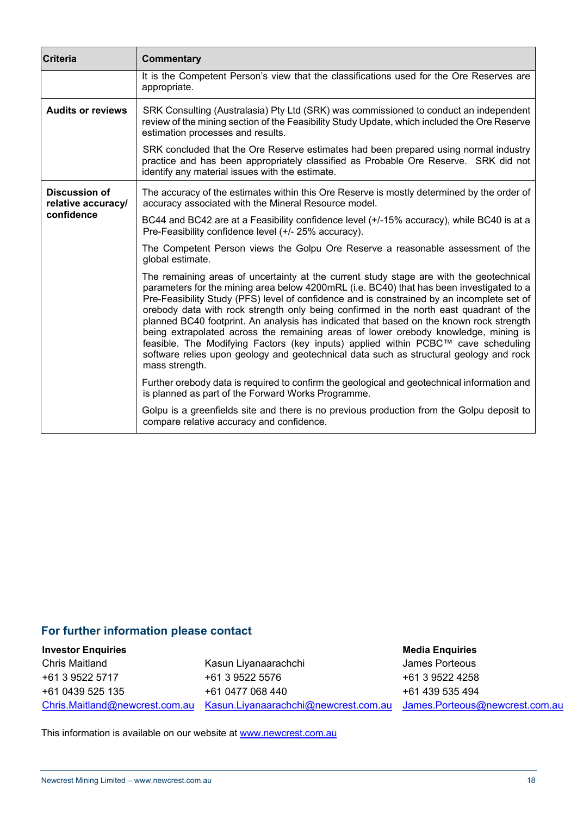| <b>Criteria</b>                            | <b>Commentary</b>                                                                                                                                                                                                                                                                                                                                                                                                                                                                                                                                                                                                                                                                                                                                              |  |
|--------------------------------------------|----------------------------------------------------------------------------------------------------------------------------------------------------------------------------------------------------------------------------------------------------------------------------------------------------------------------------------------------------------------------------------------------------------------------------------------------------------------------------------------------------------------------------------------------------------------------------------------------------------------------------------------------------------------------------------------------------------------------------------------------------------------|--|
|                                            | It is the Competent Person's view that the classifications used for the Ore Reserves are<br>appropriate.                                                                                                                                                                                                                                                                                                                                                                                                                                                                                                                                                                                                                                                       |  |
| <b>Audits or reviews</b>                   | SRK Consulting (Australasia) Pty Ltd (SRK) was commissioned to conduct an independent<br>review of the mining section of the Feasibility Study Update, which included the Ore Reserve<br>estimation processes and results.                                                                                                                                                                                                                                                                                                                                                                                                                                                                                                                                     |  |
|                                            | SRK concluded that the Ore Reserve estimates had been prepared using normal industry<br>practice and has been appropriately classified as Probable Ore Reserve. SRK did not<br>identify any material issues with the estimate.                                                                                                                                                                                                                                                                                                                                                                                                                                                                                                                                 |  |
| <b>Discussion of</b><br>relative accuracy/ | The accuracy of the estimates within this Ore Reserve is mostly determined by the order of<br>accuracy associated with the Mineral Resource model.                                                                                                                                                                                                                                                                                                                                                                                                                                                                                                                                                                                                             |  |
| confidence                                 | BC44 and BC42 are at a Feasibility confidence level (+/-15% accuracy), while BC40 is at a<br>Pre-Feasibility confidence level (+/- 25% accuracy).                                                                                                                                                                                                                                                                                                                                                                                                                                                                                                                                                                                                              |  |
|                                            | The Competent Person views the Golpu Ore Reserve a reasonable assessment of the<br>global estimate.                                                                                                                                                                                                                                                                                                                                                                                                                                                                                                                                                                                                                                                            |  |
|                                            | The remaining areas of uncertainty at the current study stage are with the geotechnical<br>parameters for the mining area below 4200mRL (i.e. BC40) that has been investigated to a<br>Pre-Feasibility Study (PFS) level of confidence and is constrained by an incomplete set of<br>orebody data with rock strength only being confirmed in the north east quadrant of the<br>planned BC40 footprint. An analysis has indicated that based on the known rock strength<br>being extrapolated across the remaining areas of lower orebody knowledge, mining is<br>feasible. The Modifying Factors (key inputs) applied within PCBC™ cave scheduling<br>software relies upon geology and geotechnical data such as structural geology and rock<br>mass strength. |  |
|                                            | Further orebody data is required to confirm the geological and geotechnical information and<br>is planned as part of the Forward Works Programme.                                                                                                                                                                                                                                                                                                                                                                                                                                                                                                                                                                                                              |  |
|                                            | Golpu is a greenfields site and there is no previous production from the Golpu deposit to<br>compare relative accuracy and confidence.                                                                                                                                                                                                                                                                                                                                                                                                                                                                                                                                                                                                                         |  |

## **For further information please contact**

**Investor Enquiries** Chris Maitland +61 3 9522 5717 +61 0439 525 135 Chris.Maitland@newcrest.com.au

Kasun Liyanaarachchi +61 3 9522 5576 +61 0477 068 440 Kasun.Liyanaarachchi@newcrest.com.au

# **Media Enquiries**

James Porteous +61 3 9522 4258 +61 439 535 494 James.Porteous@newcrest.com.au

This information is available on our website at **www.newcrest.com.au**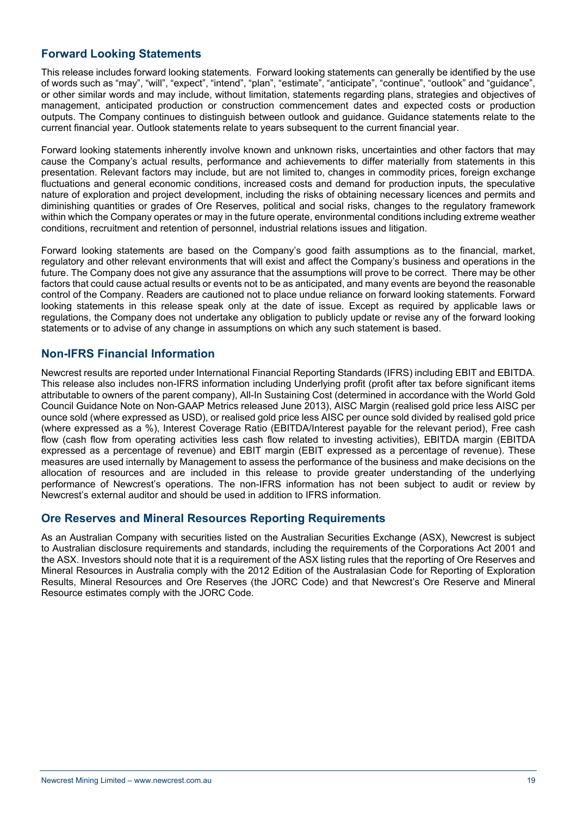## **Forward Looking Statements**

This release includes forward looking statements. Forward looking statements can generally be identified by the use of words such as "may", "will", "expect", "intend", "plan", "estimate", "anticipate", "continue", "outlook" and "guidance", or other similar words and may include, without limitation, statements regarding plans, strategies and objectives of management, anticipated production or construction commencement dates and expected costs or production outputs. The Company continues to distinguish between outlook and guidance. Guidance statements relate to the current financial year. Outlook statements relate to years subsequent to the current financial year.

Forward looking statements inherently involve known and unknown risks, uncertainties and other factors that may cause the Company's actual results, performance and achievements to differ materially from statements in this presentation. Relevant factors may include, but are not limited to, changes in commodity prices, foreign exchange fluctuations and general economic conditions, increased costs and demand for production inputs, the speculative nature of exploration and project development, including the risks of obtaining necessary licences and permits and diminishing quantities or grades of Ore Reserves, political and social risks, changes to the regulatory framework within which the Company operates or may in the future operate, environmental conditions including extreme weather conditions, recruitment and retention of personnel, industrial relations issues and litigation.

Forward looking statements are based on the Company's good faith assumptions as to the financial, market, regulatory and other relevant environments that will exist and affect the Company's business and operations in the future. The Company does not give any assurance that the assumptions will prove to be correct. There may be other factors that could cause actual results or events not to be as anticipated, and many events are beyond the reasonable control of the Company. Readers are cautioned not to place undue reliance on forward looking statements. Forward looking statements in this release speak only at the date of issue. Except as required by applicable laws or regulations, the Company does not undertake any obligation to publicly update or revise any of the forward looking statements or to advise of any change in assumptions on which any such statement is based.

### **Non-IFRS Financial Information**

Newcrest results are reported under International Financial Reporting Standards (IFRS) including EBIT and EBITDA. This release also includes non-IFRS information including Underlying profit (profit after tax before significant items attributable to owners of the parent company), All-In Sustaining Cost (determined in accordance with the World Gold Council Guidance Note on Non-GAAP Metrics released June 2013), AISC Margin (realised gold price less AISC per ounce sold (where expressed as USD), or realised gold price less AISC per ounce sold divided by realised gold price (where expressed as a %), Interest Coverage Ratio (EBITDA/Interest payable for the relevant period), Free cash flow (cash flow from operating activities less cash flow related to investing activities), EBITDA margin (EBITDA expressed as a percentage of revenue) and EBIT margin (EBIT expressed as a percentage of revenue). These measures are used internally by Management to assess the performance of the business and make decisions on the allocation of resources and are included in this release to provide greater understanding of the underlying performance of Newcrest's operations. The non-IFRS information has not been subject to audit or review by Newcrest's external auditor and should be used in addition to IFRS information.

### **Ore Reserves and Mineral Resources Reporting Requirements**

As an Australian Company with securities listed on the Australian Securities Exchange (ASX), Newcrest is subject to Australian disclosure requirements and standards, including the requirements of the Corporations Act 2001 and the ASX. Investors should note that it is a requirement of the ASX listing rules that the reporting of Ore Reserves and Mineral Resources in Australia comply with the 2012 Edition of the Australasian Code for Reporting of Exploration Results, Mineral Resources and Ore Reserves (the JORC Code) and that Newcrest's Ore Reserve and Mineral Resource estimates comply with the JORC Code.